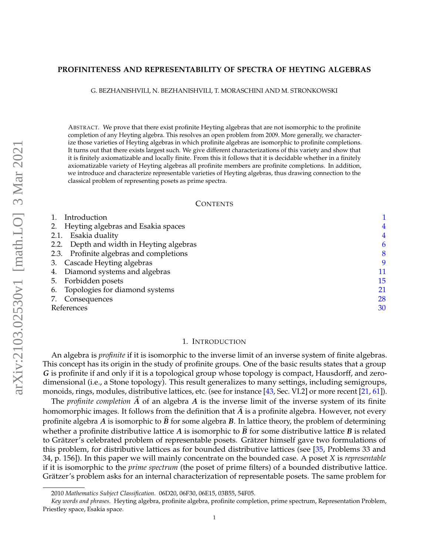## <span id="page-0-1"></span>**PROFINITENESS AND REPRESENTABILITY OF SPECTRA OF HEYTING ALGEBRAS**

G. BEZHANISHVILI, N. BEZHANISHVILI, T. MORASCHINI AND M. STRONKOWSKI

ABSTRACT. We prove that there exist profinite Heyting algebras that are not isomorphic to the profinite completion of any Heyting algebra. This resolves an open problem from 2009. More generally, we characterize those varieties of Heyting algebras in which profinite algebras are isomorphic to profinite completions. It turns out that there exists largest such. We give different characterizations of this variety and show that it is finitely axiomatizable and locally finite. From this it follows that it is decidable whether in a finitely axiomatizable variety of Heyting algebras all profinite members are profinite completions. In addition, we introduce and characterize representable varieties of Heyting algebras, thus drawing connection to the classical problem of representing posets as prime spectra.

## **CONTENTS**

| 4  |
|----|
| 4  |
| 6  |
| 8  |
| 9  |
| 11 |
| 15 |
| 21 |
| 28 |
| 30 |
|    |

### 1. INTRODUCTION

<span id="page-0-0"></span>An algebra is *profinite* if it is isomorphic to the inverse limit of an inverse system of finite algebras. This concept has its origin in the study of profinite groups. One of the basic results states that a group *G* is profinite if and only if it is a topological group whose topology is compact, Hausdorff, and zerodimensional (i.e., a Stone topology). This result generalizes to many settings, including semigroups, monoids, rings, modules, distributive lattices, etc. (see for instance [\[43,](#page-30-0) Sec. VI.2] or more recent [\[21,](#page-30-1) [61\]](#page-31-0)).

The *profinite completion* A of an algebra A is the inverse limit of the inverse system of its finite homomorphic images. It follows from the definition that  $\hat{A}$  is a profinite algebra. However, not every profinite algebra *A* is isomorphic to  $\vec{B}$  for some algebra  $\vec{B}$ . In lattice theory, the problem of determining whether a profinite distributive lattice *A* is isomorphic to  $\hat{B}$  for some distributive lattice *B* is related to Grätzer's celebrated problem of representable posets. Grätzer himself gave two formulations of this problem, for distributive lattices as for bounded distributive lattices (see [\[35,](#page-30-2) Problems 33 and 34, p. 156]). In this paper we will mainly concentrate on the bounded case. A poset *X* is *representable* if it is isomorphic to the *prime spectrum* (the poset of prime filters) of a bounded distributive lattice. Grätzer's problem asks for an internal characterization of representable posets. The same problem for

<sup>2010</sup> *Mathematics Subject Classification.* 06D20, 06F30, 06E15, 03B55, 54F05.

*Key words and phrases.* Heyting algebra, profinite algebra, profinite completion, prime spectrum, Representation Problem, Priestley space, Esakia space.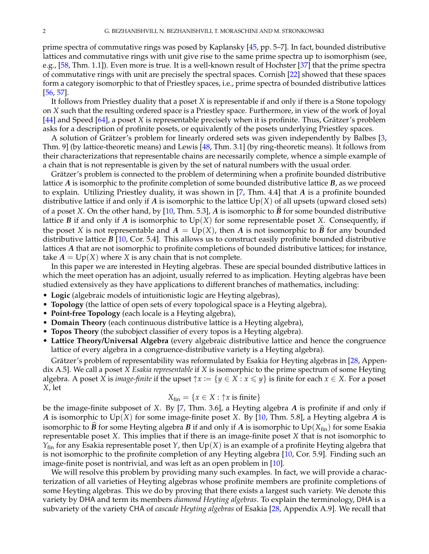prime spectra of commutative rings was posed by Kaplansky [\[45,](#page-30-3) pp. 5–7]. In fact, bounded distributive lattices and commutative rings with unit give rise to the same prime spectra up to isomorphism (see, e.g., [\[58,](#page-31-1) Thm. 1.1]). Even more is true. It is a well-known result of Hochster [\[37\]](#page-30-4) that the prime spectra of commutative rings with unit are precisely the spectral spaces. Cornish [\[22\]](#page-30-5) showed that these spaces form a category isomorphic to that of Priestley spaces, i.e., prime spectra of bounded distributive lattices [\[56,](#page-30-6) [57\]](#page-31-2).

It follows from Priestley duality that a poset *X* is representable if and only if there is a Stone topology on *X* such that the resulting ordered space is a Priestley space. Furthermore, in view of the work of Joyal [\[44\]](#page-30-7) and Speed [\[64\]](#page-31-3), a poset *X* is representable precisely when it is profinite. Thus, Grätzer's problem asks for a description of profinite posets, or equivalently of the posets underlying Priestley spaces.

A solution of Grätzer's problem for linearly ordered sets was given independently by Balbes [[3,](#page-29-1) Thm. 9] (by lattice-theoretic means) and Lewis [\[48,](#page-30-8) Thm. 3.1] (by ring-theoretic means). It follows from their characterizations that representable chains are necessarily complete, whence a simple example of a chain that is not representable is given by the set of natural numbers with the usual order.

Grätzer's problem is connected to the problem of determining when a profinite bounded distributive lattice *A* is isomorphic to the profinite completion of some bounded distributive lattice *B*, as we proceed to explain. Utilizing Priestley duality, it was shown in [\[7,](#page-29-2) Thm. 4.4] that *A* is a profinite bounded distributive lattice if and only if *A* is isomorphic to the lattice  $Up(X)$  of all upsets (upward closed sets) of a poset *X*. On the other hand, by [\[10,](#page-29-3) Thm. 5.3], *A* is isomorphic to  $\hat{B}$  for some bounded distributive lattice  $B$  if and only if  $A$  is isomorphic to  $Up(X)$  for some representable poset  $X$ . Consequently, if the poset *X* is not representable and  $A = Up(X)$ , then *A* is not isomorphic to  $\hat{B}$  for any bounded distributive lattice *B* [\[10,](#page-29-3) Cor. 5.4]. This allows us to construct easily profinite bounded distributive lattices *A* that are not isomorphic to profinite completions of bounded distributive lattices; for instance, take  $A = Up(X)$  where *X* is any chain that is not complete.

In this paper we are interested in Heyting algebras. These are special bounded distributive lattices in which the meet operation has an adjoint, usually referred to as implication. Heyting algebras have been studied extensively as they have applications to different branches of mathematics, including:

- **Logic** (algebraic models of intuitionistic logic are Heyting algebras),
- **Topology** (the lattice of open sets of every topological space is a Heyting algebra),
- **Point-free Topology** (each locale is a Heyting algebra),
- **Domain Theory** (each continuous distributive lattice is a Heyting algebra),
- **Topos Theory** (the subobject classifier of every topos is a Heyting algebra).
- **Lattice Theory/Universal Algebra** (every algebraic distributive lattice and hence the congruence lattice of every algebra in a congruence-distributive variety is a Heyting algebra).

Grätzer's problem of representability was reformulated by Esakia for Heyting algebras in [[28,](#page-30-9) Appendix A.5]. We call a poset *X Esakia representable* if *X* is isomorphic to the prime spectrum of some Heyting algebra. A poset *X* is *image-finite* if the upset  $\uparrow x := \{y \in X : x \leq y\}$  is finite for each  $x \in X$ . For a poset *X*, let

$$
X_{fin} = \{x \in X : \uparrow x \text{ is finite}\}
$$

be the image-finite subposet of *X*. By [\[7,](#page-29-2) Thm. 3.6], a Heyting algebra *A* is profinite if and only if *A* is isomorphic to Up(*X*) for some image-finite poset *X*. By [\[10,](#page-29-3) Thm. 5.8], a Heyting algebra *A* is isomorphic to  $\widehat{B}$  for some Heyting algebra *B* if and only if *A* is isomorphic to Up( $X_{fin}$ ) for some Esakia representable poset *X*. This implies that if there is an image-finite poset *X* that is not isomorphic to *Y*fin for any Esakia representable poset *Y*, then Up(*X*) is an example of a profinite Heyting algebra that is not isomorphic to the profinite completion of any Heyting algebra [\[10,](#page-29-3) Cor. 5.9]. Finding such an image-finite poset is nontrivial, and was left as an open problem in [\[10\]](#page-29-3).

We will resolve this problem by providing many such examples. In fact, we will provide a characterization of all varieties of Heyting algebras whose profinite members are profinite completions of some Heyting algebras. This we do by proving that there exists a largest such variety. We denote this variety by DHA and term its members *diamond Heyting algebras*. To explain the terminology, DHA is a subvariety of the variety CHA of *cascade Heyting algebras* of Esakia [\[28,](#page-30-9) Appendix A.9]. We recall that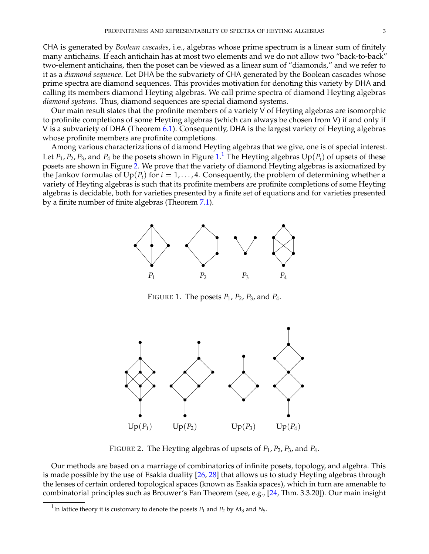CHA is generated by *Boolean cascades*, i.e., algebras whose prime spectrum is a linear sum of finitely many antichains. If each antichain has at most two elements and we do not allow two "back-to-back" two-element antichains, then the poset can be viewed as a linear sum of "diamonds," and we refer to it as a *diamond sequence*. Let DHA be the subvariety of CHA generated by the Boolean cascades whose prime spectra are diamond sequences. This provides motivation for denoting this variety by DHA and calling its members diamond Heyting algebras. We call prime spectra of diamond Heyting algebras *diamond systems*. Thus, diamond sequences are special diamond systems.

Our main result states that the profinite members of a variety V of Heyting algebras are isomorphic to profinite completions of some Heyting algebras (which can always be chosen from V) if and only if V is a subvariety of DHA (Theorem [6.1\)](#page-20-1). Consequently, DHA is the largest variety of Heyting algebras whose profinite members are profinite completions.

Among various characterizations of diamond Heyting algebras that we give, one is of special interest. Let  $P_1$  $P_1$ ,  $P_2$ ,  $P_3$ , and  $P_4$  be the posets shown in Figure  $1.^1$  $1.^1$  The Heyting algebras  $\mathrm{Up}(P_i)$  of upsets of these posets are shown in Figure [2.](#page-2-2) We prove that the variety of diamond Heyting algebras is axiomatized by the Jankov formulas of  $Up(P_i)$  for  $i = 1, \ldots, 4$ . Consequently, the problem of determining whether a variety of Heyting algebras is such that its profinite members are profinite completions of some Heyting algebras is decidable, both for varieties presented by a finite set of equations and for varieties presented by a finite number of finite algebras (Theorem [7.1\)](#page-0-1).



<span id="page-2-0"></span>FIGURE 1. The posets *P*1, *P*2, *P*3, and *P*4.



<span id="page-2-2"></span>FIGURE 2. The Heyting algebras of upsets of *P*1, *P*2, *P*3, and *P*4.

Our methods are based on a marriage of combinatorics of infinite posets, topology, and algebra. This is made possible by the use of Esakia duality [\[26,](#page-30-10) [28\]](#page-30-9) that allows us to study Heyting algebras through the lenses of certain ordered topological spaces (known as Esakia spaces), which in turn are amenable to combinatorial principles such as Brouwer's Fan Theorem (see, e.g., [\[24,](#page-30-11) Thm. 3.3.20]). Our main insight

<span id="page-2-1"></span><sup>&</sup>lt;sup>1</sup>In lattice theory it is customary to denote the posets  $P_1$  and  $P_2$  by  $M_3$  and  $N_5$ .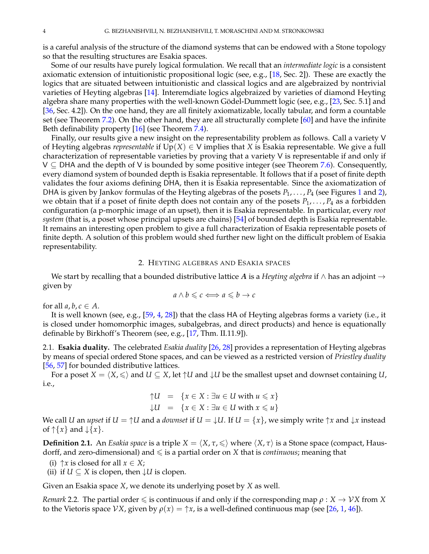is a careful analysis of the structure of the diamond systems that can be endowed with a Stone topology so that the resulting structures are Esakia spaces.

Some of our results have purely logical formulation. We recall that an *intermediate logic* is a consistent axiomatic extension of intuitionistic propositional logic (see, e.g., [\[18,](#page-30-12) Sec. 2]). These are exactly the logics that are situated between intuitionistic and classical logics and are algebraized by nontrivial varieties of Heyting algebras [\[14\]](#page-30-13). Interemdiate logics algebraized by varieties of diamond Heyting algebra share many properties with the well-known Gödel-Dummett logic (see, e.g., [[23,](#page-30-14) Sec. 5.1] and [\[36,](#page-30-15) Sec. 4.2]). On the one hand, they are all finitely axiomatizable, locally tabular, and form a countable set (see Theorem [7.2\)](#page-27-1). On the other hand, they are all structurally complete [\[60\]](#page-31-4) and have the infinite Beth definability property [\[16\]](#page-30-16) (see Theorem [7.4\)](#page-28-0).

Finally, our results give a new insight on the representability problem as follows. Call a variety V of Heyting algebras *representable* if  $Up(X) \in V$  implies that *X* is Esakia representable. We give a full characterization of representable varieties by proving that a variety V is representable if and only if  $V \subseteq$  DHA and the depth of V is bounded by some positive integer (see Theorem [7.6\)](#page-29-4). Consequently, every diamond system of bounded depth is Esakia representable. It follows that if a poset of finite depth validates the four axioms defining DHA, then it is Esakia representable. Since the axiomatization of DHA is given by Jankov formulas of the Heyting algebras of the posets *P*1, . . . , *P*<sup>4</sup> (see Figures [1](#page-2-0) and [2\)](#page-2-2), we obtain that if a poset of finite depth does not contain any of the posets  $P_1, \ldots, P_4$  as a forbidden configuration (a p-morphic image of an upset), then it is Esakia representable. In particular, every *root system* (that is, a poset whose principal upsets are chains) [\[54\]](#page-30-17) of bounded depth is Esakia representable. It remains an interesting open problem to give a full characterization of Esakia representable posets of finite depth. A solution of this problem would shed further new light on the difficult problem of Esakia representability.

### 2. HEYTING ALGEBRAS AND ESAKIA SPACES

<span id="page-3-0"></span>We start by recalling that a bounded distributive lattice *A* is a *Heyting algebra* if ∧ has an adjoint → given by

$$
a \wedge b \leqslant c \Longleftrightarrow a \leqslant b \rightarrow c
$$

for all  $a, b, c \in A$ .

It is well known (see, e.g., [\[59,](#page-31-5) [4,](#page-29-5) [28\]](#page-30-9)) that the class HA of Heyting algebras forms a variety (i.e., it is closed under homomorphic images, subalgebras, and direct products) and hence is equationally definable by Birkhoff's Theorem (see, e.g., [\[17,](#page-30-18) Thm. II.11.9]).

<span id="page-3-1"></span>2.1. **Esakia duality.** The celebrated *Esakia duality* [\[26,](#page-30-10) [28\]](#page-30-9) provides a representation of Heyting algebras by means of special ordered Stone spaces, and can be viewed as a restricted version of *Priestley duality* [\[56,](#page-30-6) [57\]](#page-31-2) for bounded distributive lattices.

For a poset  $X = \langle X, \leq \rangle$  and  $U \subseteq X$ , let  $\uparrow U$  and  $\downarrow U$  be the smallest upset and downset containing *U*, i.e.,

$$
\uparrow U = \{x \in X : \exists u \in U \text{ with } u \leq x\}
$$
  

$$
\downarrow U = \{x \in X : \exists u \in U \text{ with } x \leq u\}
$$

We call *U* an *upset* if  $U = \Upsilon U$  and a *downset* if  $U = \Upsilon U$ . If  $U = \{x\}$ , we simply write  $\uparrow x$  and  $\downarrow x$  instead of  $\uparrow \{x\}$  and  $\downarrow \{x\}$ .

**Definition 2.1.** An *Esakia space* is a triple  $X = \langle X, \tau, \leq \rangle$  where  $\langle X, \tau \rangle$  is a Stone space (compact, Hausdorff, and zero-dimensional) and  $\leq$  is a partial order on *X* that is *continuous*; meaning that

- (i)  $\uparrow x$  is closed for all  $x \in X$ ;
- (ii) if  $U \subseteq X$  is clopen, then  $\downarrow U$  is clopen.

Given an Esakia space *X*, we denote its underlying poset by *X* as well.

*Remark* 2.2*.* The partial order  $\leq$  is continuous if and only if the corresponding map  $\rho: X \to \gamma Y X$  from *X* to the Vietoris space *VX*, given by  $\rho(x) = \gamma x$ , is a well-defined continuous map (see [\[26,](#page-30-10) [1,](#page-29-6) [46\]](#page-30-19)).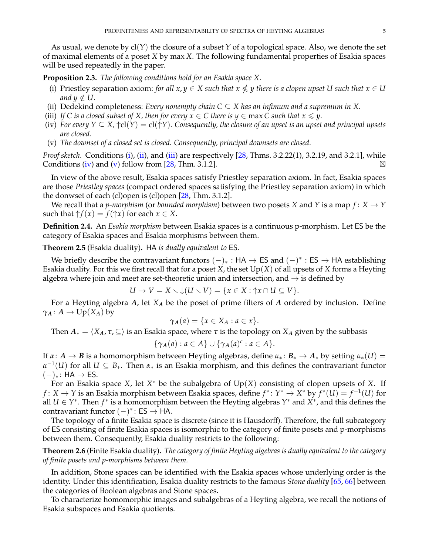As usual, we denote by cl(*Y*) the closure of a subset *Y* of a topological space. Also, we denote the set of maximal elements of a poset *X* by max *X*. The following fundamental properties of Esakia spaces will be used repeatedly in the paper.

<span id="page-4-5"></span>**Proposition 2.3.** *The following conditions hold for an Esakia space X.*

- <span id="page-4-0"></span>(i) Priestley separation axiom: *for all*  $x, y \in X$  *such that*  $x \nleq y$  *there is a clopen upset* U *such that*  $x \in U$ *and*  $y \notin U$ .
- <span id="page-4-1"></span>(ii) Dedekind completeness: *Every nonempty chain*  $C \subseteq X$  has an infimum and a supremum in X.
- <span id="page-4-2"></span>(iii) *If C is a closed subset of X, then for every*  $x \in C$  *there is*  $y \in \max C$  *such that*  $x \leq y$ *.*
- <span id="page-4-3"></span>(iv) *For every*  $Y \subseteq X$ ,  $\uparrow$ cl $(Y) = cl(\uparrow Y)$ *. Consequently, the closure of an upset is an upset and principal upsets are closed.*
- <span id="page-4-4"></span>(v) *The downset of a closed set is closed. Consequently, principal downsets are closed.*

*Proof sketch.* Conditions [\(i\)](#page-4-0), [\(ii\)](#page-4-1), and [\(iii\)](#page-4-2) are respectively [\[28,](#page-30-9) Thms. 3.2.22(1), 3.2.19, and 3.2.1], while Conditions [\(iv\)](#page-4-3) and [\(v\)](#page-4-4) follow from  $[28, Thm. 3.1.2]$  $[28, Thm. 3.1.2]$ .

In view of the above result, Esakia spaces satisfy Priestley separation axiom. In fact, Esakia spaces are those *Priestley spaces* (compact ordered spaces satisfying the Priestley separation axiom) in which the donwset of each (cl)open is (cl)open [\[28,](#page-30-9) Thm. 3.1.2].

We recall that a *p-morphism* (or *bounded morphism*) between two posets *X* and *Y* is a map  $f: X \rightarrow Y$ such that  $\uparrow f(x) = f(\uparrow x)$  for each  $x \in X$ .

**Definition 2.4.** An *Esakia morphism* between Esakia spaces is a continuous p-morphism. Let ES be the category of Esakia spaces and Esakia morphisms between them.

**Theorem 2.5** (Esakia duality)**.** HA *is dually equivalent to* ES*.*

We briefly describe the contravariant functors  $(-)_*$  : HA  $\rightarrow$  ES and  $(-)^*$  : ES  $\rightarrow$  HA establishing Esakia duality. For this we first recall that for a poset *X*, the set Up(*X*) of all upsets of *X* forms a Heyting algebra where join and meet are set-theoretic union and intersection, and  $\rightarrow$  is defined by

$$
U \to V = X \setminus \mathcal{L}(U \setminus V) = \{x \in X : \mathcal{\uparrow}x \cap U \subseteq V\}.
$$

For a Heyting algebra *A*, let *X<sup>A</sup>* be the poset of prime filters of *A* ordered by inclusion. Define  $\gamma_A$ :  $A \to \mathrm{Up}(X_A)$  by

$$
\gamma_A(a) = \{x \in X_A : a \in x\}.
$$

Then  $A_* = \langle X_A, \tau, \subseteq \rangle$  is an Esakia space, where  $\tau$  is the topology on  $X_A$  given by the subbasis

$$
\{\gamma_A(a) : a \in A\} \cup \{\gamma_A(a)^c : a \in A\}.
$$

If  $\alpha: A \to B$  is a homomorphism between Heyting algebras, define  $\alpha_*: B_* \to A_*$  by setting  $\alpha_*(U) =$  $\alpha^{-1}(U)$  for all  $U \subseteq B_*$ . Then  $\alpha_*$  is an Esakia morphism, and this defines the contravariant functor  $(-)_*$ : HA  $\rightarrow$  ES.

For an Esakia space *X*, let *X* <sup>∗</sup> be the subalgebra of Up(*X*) consisting of clopen upsets of *X*. If *f* : *X* → *Y* is an Esakia morphism between Esakia spaces, define  $f^*: Y^* \to X^*$  by  $f^*(U) = f^{-1}(U)$  for all *U* ∈ *Y* ∗ . Then *f* ∗ is a homomorphism between the Heyting algebras *Y* <sup>∗</sup> and *X* ∗ , and this defines the contravariant functor  $(-)^*$ : ES  $\rightarrow$  HA.

The topology of a finite Esakia space is discrete (since it is Hausdorff). Therefore, the full subcategory of ES consisting of finite Esakia spaces is isomorphic to the category of finite posets and p-morphisms between them. Consequently, Esakia duality restricts to the following:

<span id="page-4-6"></span>**Theorem 2.6** (Finite Esakia duality)**.** *The category of finite Heyting algebras is dually equivalent to the category of finite posets and p-morphisms between them.*

In addition, Stone spaces can be identified with the Esakia spaces whose underlying order is the identity. Under this identification, Esakia duality restricts to the famous *Stone duality* [\[65,](#page-31-6) [66\]](#page-31-7) between the categories of Boolean algebras and Stone spaces.

To characterize homomorphic images and subalgebras of a Heyting algebra, we recall the notions of Esakia subspaces and Esakia quotients.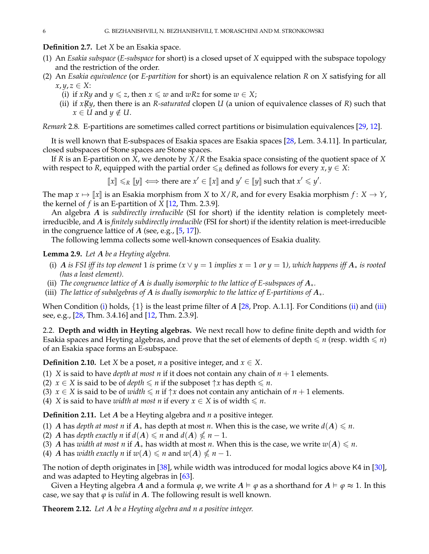## **Definition 2.7.** Let *X* be an Esakia space.

- (1) An *Esakia subspace* (*E-subspace* for short) is a closed upset of *X* equipped with the subspace topology and the restriction of the order.
- (2) An *Esakia equivalence* (or *E-partition* for short) is an equivalence relation *R* on *X* satisfying for all  $x, y, z \in X$ :
	- (i) if *xRy* and *y*  $\le z$ , then *x*  $\le w$  and *wRz* for some *w*  $\in X$ ;
	- (ii) if  $x\cancel{R}y$ , then there is an *R-saturated* clopen *U* (a union of equivalence classes of *R*) such that  $x \in U$  and  $y \notin U$ .

*Remark* 2.8*.* E-partitions are sometimes called correct partitions or bisimulation equivalences [\[29,](#page-30-20) [12\]](#page-29-7).

It is well known that E-subspaces of Esakia spaces are Esakia spaces [\[28,](#page-30-9) Lem. 3.4.11]. In particular, closed subspaces of Stone spaces are Stone spaces.

If *R* is an E-partition on *X*, we denote by *X*/*R* the Esakia space consisting of the quotient space of *X* with respect to *R*, equipped with the partial order  $\leq_R$  defined as follows for every  $x, y \in X$ :

 $\llbracket x \rrbracket \leq R \llbracket y \rrbracket \iff \text{there are } x' \in \llbracket x \rrbracket \text{ and } y' \in \llbracket y \rrbracket \text{ such that } x' \leq y'.$ 

The map  $x \mapsto \llbracket x \rrbracket$  is an Esakia morphism from *X* to *X*/*R*, and for every Esakia morphism  $f: X \to Y$ , the kernel of *f* is an E-partition of *X* [\[12,](#page-29-7) Thm. 2.3.9].

An algebra *A* is *subdirectly irreducible* (SI for short) if the identity relation is completely meetirreducible, and *A* is *finitely subdirectly irreducible* (FSI for short) if the identity relation is meet-irreducible in the congruence lattice of *A* (see, e.g., [\[5,](#page-29-8) [17\]](#page-30-18)).

The following lemma collects some well-known consequences of Esakia duality.

## <span id="page-5-5"></span>**Lemma 2.9.** *Let A be a Heyting algebra.*

- <span id="page-5-1"></span>(i) *A is FSI iff its top element* 1 *is* prime  $(x \lor y = 1$  *implies*  $x = 1$  *or*  $y = 1$ *), which happens iff*  $A_*$  *is rooted (has a least element).*
- <span id="page-5-2"></span>(ii) *The congruence lattice of A is dually isomorphic to the lattice of E-subspaces of A*∗*.*
- <span id="page-5-3"></span>(iii) *The lattice of subalgebras of A is dually isomorphic to the lattice of E-partitions of A*∗*.*

When Condition [\(i\)](#page-5-1) holds,  $\{1\}$  is the least prime filter of *A* [\[28,](#page-30-9) Prop. A.1.1]. For Conditions [\(ii\)](#page-5-2) and [\(iii\)](#page-5-3) see, e.g., [\[28,](#page-30-9) Thm. 3.4.16] and [\[12,](#page-29-7) Thm. 2.3.9].

<span id="page-5-0"></span>2.2. **Depth and width in Heyting algebras.** We next recall how to define finite depth and width for Esakia spaces and Heyting algebras, and prove that the set of elements of depth  $\leq n$  (resp. width  $\leq n$ ) of an Esakia space forms an E-subspace.

**Definition 2.10.** Let *X* be a poset, *n* a positive integer, and  $x \in X$ .

- (1) *X* is said to have *depth at most n* if it does not contain any chain of  $n + 1$  elements.
- (2)  $x \in X$  is said to be of *depth*  $\leq n$  if the subposet  $\uparrow x$  has depth  $\leq n$ .
- (3) *x*  $\in$  *X* is said to be of *width*  $\le n$  if  $\uparrow$ *x* does not contain any antichain of *n* + 1 elements.
- (4) *X* is said to have *width at most n* if every  $x \in X$  is of width  $\leq n$ .

**Definition 2.11.** Let *A* be a Heyting algebra and *n* a positive integer.

- (1) *A* has *depth at most n* if  $A_*$  has depth at most *n*. When this is the case, we write  $d(A) \leq n$ .
- (2) *A* has *depth exactly n* if  $d(A) \le n$  and  $d(A) \le n 1$ .
- (3) *A* has *width at most n* if  $A_*$  has width at most *n*. When this is the case, we write  $w(A) \leq n$ .
- (4) *A* has *width exactly n* if  $w(A) \le n$  and  $w(A) \le n 1$ .

The notion of depth originates in [\[38\]](#page-30-21), while width was introduced for modal logics above K4 in [\[30\]](#page-30-22), and was adapted to Heyting algebras in [\[63\]](#page-31-8).

Given a Heyting algebra *A* and a formula  $\varphi$ , we write  $A \models \varphi$  as a shorthand for  $A \models \varphi \approx 1$ . In this case, we say that  $\varphi$  is *valid* in  $A$ . The following result is well known.

<span id="page-5-4"></span>**Theorem 2.12.** *Let A be a Heyting algebra and n a positive integer.*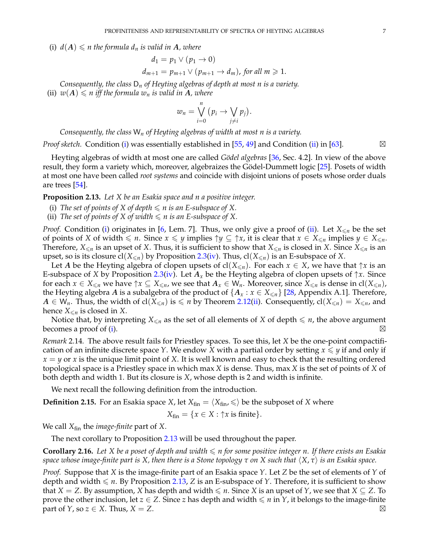<span id="page-6-0"></span>(i)  $d(A) \leq n$  the formula  $d_n$  is valid in A, where

$$
d_1 = p_1 \vee (p_1 \to 0)
$$
  
\n
$$
d_{m+1} = p_{m+1} \vee (p_{m+1} \to d_m), \text{ for all } m \geq 1.
$$

<span id="page-6-1"></span>*Consequently, the class* D*<sup>n</sup> of Heyting algebras of depth at most n is a variety.* (ii)  $w(A) \leq n$  *iff the formula*  $w_n$  *is valid in* A, where

$$
w_n = \bigvee_{i=0}^n (p_i \to \bigvee_{j \neq i} p_j).
$$

*Consequently, the class* W*<sup>n</sup> of Heyting algebras of width at most n is a variety.*

*Proof sketch.* Condition [\(i\)](#page-6-0) was essentially established in [\[55,](#page-30-23) [49\]](#page-30-24) and Condition [\(ii\)](#page-6-1) in [\[63\]](#page-31-8).  $\boxtimes$ 

Heyting algebras of width at most one are called *Gödel algebras* [\[36,](#page-30-15) Sec. 4.2]. In view of the above result, they form a variety which, moreover, algebraizes the Gödel-Dummett logic [[25\]](#page-30-25). Posets of width at most one have been called *root systems* and coincide with disjoint unions of posets whose order duals are trees [\[54\]](#page-30-17).

<span id="page-6-4"></span>**Proposition 2.13.** *Let X be an Esakia space and n a positive integer.*

- <span id="page-6-2"></span>(i) The set of points of X of depth  $\leq n$  is an E-subspace of X.
- <span id="page-6-3"></span>(ii) *The set of points of X of width*  $\leq n$  *is an E-subspace of X.*

*Proof.* Condition [\(i\)](#page-6-2) originates in [\[6,](#page-29-9) Lem. 7]. Thus, we only give a proof of [\(ii\)](#page-6-3). Let  $X_{\leq n}$  be the set of points of *X* of width  $\leq n$ . Since  $x \leq y$  implies  $\uparrow y \subseteq \uparrow x$ , it is clear that  $x \in X_{\leq n}$  implies  $y \in X_{\leq n}$ . Therefore,  $X_{\le n}$  is an upset of *X*. Thus, it is sufficient to show that  $X_{\le n}$  is closed in *X*. Since  $X_{\le n}$  is an upset, so is its closure  $cl(X_{\leq n})$  by Proposition [2.3](#page-4-5)[\(iv\)](#page-4-3). Thus,  $cl(X_{\leq n})$  is an E-subspace of *X*.

Let *A* be the Heyting algebra of clopen upsets of  $cl(X_{\leq n})$ . For each  $x \in X$ , we have that  $\uparrow x$  is an E-subspace of *X* by Proposition [2.3](#page-4-5)[\(iv\)](#page-4-3). Let  $A_x$  be the Heyting algebra of clopen upsets of  $\uparrow x$ . Since for each  $x \in X_{\leq n}$  we have  $\uparrow x \subseteq X_{\leq n}$ , we see that  $A_x \in W_n$ . Moreover, since  $X_{\leq n}$  is dense in cl $(X_{\leq n})$ , the Heyting algebra *A* is a subalgebra of the product of  $\{A_x : x \in X_{\le n}\}\$  [\[28,](#page-30-9) Appendix A.1]. Therefore, *A* ∈ W<sub>n</sub>. Thus, the width of cl(*X*<sub>≤*n*</sub>) is ≤ *n* by Theorem [2.12](#page-5-4)[\(ii\)](#page-6-1). Consequently, cl(*X*<sub>≤*n*</sub>) = *X*<sub>≤*n*</sub>, and hence  $X_{\leq n}$  is closed in *X*.

Notice that, by interpreting  $X_{\leq n}$  as the set of all elements of *X* of depth  $\leq n$ , the above argument becomes a proof of [\(i\)](#page-6-2).  $\boxtimes$ 

*Remark* 2.14*.* The above result fails for Priestley spaces. To see this, let *X* be the one-point compactification of an infinite discrete space *Y*. We endow *X* with a partial order by setting  $x \leq \gamma$  if and only if  $x = y$  or *x* is the unique limit point of *X*. It is well known and easy to check that the resulting ordered topological space is a Priestley space in which max *X* is dense. Thus, max *X* is the set of points of *X* of both depth and width 1. But its closure is *X*, whose depth is 2 and width is infinite.

We next recall the following definition from the introduction.

**Definition 2.15.** For an Esakia space *X*, let  $X_{fin} = \langle X_{fin}, \leq \rangle$  be the subposet of *X* where

$$
X_{fin} = \{x \in X : \uparrow x \text{ is finite}\}.
$$

We call *X*fin the *image-finite* part of *X*.

The next corollary to Proposition [2.13](#page-6-4) will be used throughout the paper.

<span id="page-6-5"></span>**Corollary 2.16.** Let *X* be a poset of depth and width  $\leq$  *n* for some positive integer *n*. If there exists an Esakia *space whose image-finite part is*  $X$ , *then there is a Stone topology*  $\tau$  *on*  $X$  *such that*  $\langle X, \tau \rangle$  *is an Esakia space.* 

*Proof.* Suppose that *X* is the image-finite part of an Esakia space *Y*. Let *Z* be the set of elements of *Y* of depth and width  $\leq n$ . By Proposition [2.13,](#page-6-4) *Z* is an E-subspace of *Y*. Therefore, it is sufficient to show that *X* = *Z*. By assumption, *X* has depth and width  $\le n$ . Since *X* is an upset of *Y*, we see that *X*  $\subseteq$  *Z*. To prove the other inclusion, let  $z \in Z$ . Since *z* has depth and width  $\leq n$  in *Y*, it belongs to the image-finite part of *Y*, so  $z \in X$ . Thus,  $X = Z$ .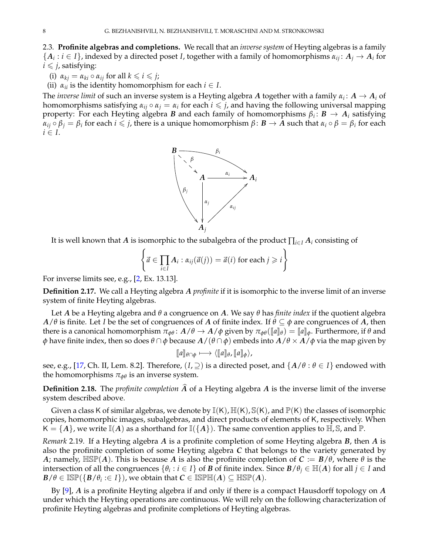<span id="page-7-0"></span>2.3. **Profinite algebras and completions.** We recall that an *inverse system* of Heyting algebras is a family  $\{A_i : i \in I\}$ , indexed by a directed poset *I*, together with a family of homomorphisms  $\alpha_{ij} : A_j \to A_i$  for  $i \leq j$ , satisfying:

(i)  $\alpha_{kj} = \alpha_{ki} \circ \alpha_{ij}$  for all  $k \leq i \leq j$ ;

(ii)  $\alpha_{ii}$  is the identity homomorphism for each  $i \in I$ .

The *inverse limit* of such an inverse system is a Heyting algebra  $A$  together with a family  $\alpha_i \colon A \to A_i$  of homomorphisms satisfying  $\alpha_{ij} \circ \alpha_j = \alpha_i$  for each  $i \leq j$ , and having the following universal mapping property: For each Heyting algebra *B* and each family of homomorphisms *β<sup>i</sup>* : *B* → *A<sup>i</sup>* satisfying  $\alpha_{ij}\circ\beta_j=\beta_i$  for each  $i\leqslant j$ , there is a unique homomorphism  $\beta\colon\bm{B}\to\bm{A}$  such that  $\alpha_i\circ\beta=\beta_i$  for each  $i \in I$ .



It is well known that *A* is isomorphic to the subalgebra of the product  $\prod_{i\in I} A_i$  consisting of

$$
\left\{\vec{a}\in\prod_{i\in I}A_i:\alpha_{ij}(\vec{a}(j))=\vec{a}(i) \text{ for each }j\geqslant i\right\}
$$

For inverse limits see, e.g., [\[2,](#page-29-10) Ex. 13.13].

**Definition 2.17.** We call a Heyting algebra *A profinite* if it is isomorphic to the inverse limit of an inverse system of finite Heyting algebras.

Let *A* be a Heyting algebra and *θ* a congruence on *A*. We say *θ* has *finite index* if the quotient algebra *A*/*θ* is finite. Let *I* be the set of congruences of *A* of finite index. If *θ* ⊆ *φ* are congruences of *A*, then there is a canonical homomorphism  $\pi_{\phi\theta}$ :  $A/\theta \to A/\phi$  given by  $\pi_{\phi\theta}(\llbracket a \rrbracket_{\theta}) = \llbracket a \rrbracket_{\phi}$ . Furthermore, if θ and *φ* have finite index, then so does *θ* ∩ *φ* because *A*/(*θ* ∩ *φ*) embeds into *A*/*θ* × *A*/*φ* via the map given by

$$
[\![a]\!]_{\theta \cap \phi} \longmapsto \langle [\![a]\!]_{\theta}, [\![a]\!]_{\phi} \rangle,
$$

see, e.g., [\[17,](#page-30-18) Ch. II, Lem. 8.2]. Therefore,  $(I, \supseteq)$  is a directed poset, and  $\{A/\theta : \theta \in I\}$  endowed with the homomorphisms  $\pi_{\phi\theta}$  is an inverse system.

**Definition 2.18.** The *profinite completion*  $\widehat{A}$  of a Heyting algebra  $A$  is the inverse limit of the inverse system described above.

Given a class K of similar algebras, we denote by  $\mathbb{I}(\mathsf{K})$ ,  $\mathbb{H}(\mathsf{K})$ ,  $\mathbb{S}(\mathsf{K})$ , and  $\mathbb{P}(\mathsf{K})$  the classes of isomorphic copies, homomorphic images, subalgebras, and direct products of elements of K, respectively. When  $K = \{A\}$ , we write  $\mathbb{I}(A)$  as a shorthand for  $\mathbb{I}(\{A\})$ . The same convention applies to  $\mathbb{H}$ ,  $\mathbb{S}$ , and  $\mathbb{P}$ .

*Remark* 2.19*.* If a Heyting algebra *A* is a profinite completion of some Heyting algebra *B*, then *A* is also the profinite completion of some Heyting algebra *C* that belongs to the variety generated by *A*; namely,  $\mathbb{H}\mathbb{S}\mathbb{P}(A)$ . This is because *A* is also the profinite completion of  $C := B/\theta$ , where  $\theta$  is the intersection of all the congruences  $\{\theta_i : i \in I\}$  of  $B$  of finite index. Since  $B/\theta_j \in \mathbb{H}(A)$  for all  $j \in I$  and  $B/\theta \in \mathbb{ISP}(\{B/\theta_i:\in I\})$ , we obtain that  $\mathcal{C} \in \mathbb{ISPH}(A) \subseteq \mathbb{HSP}(A).$ 

By [\[9\]](#page-29-11), *A* is a profinite Heyting algebra if and only if there is a compact Hausdorff topology on *A* under which the Heyting operations are continuous. We will rely on the following characterization of profinite Heyting algebras and profinite completions of Heyting algebras.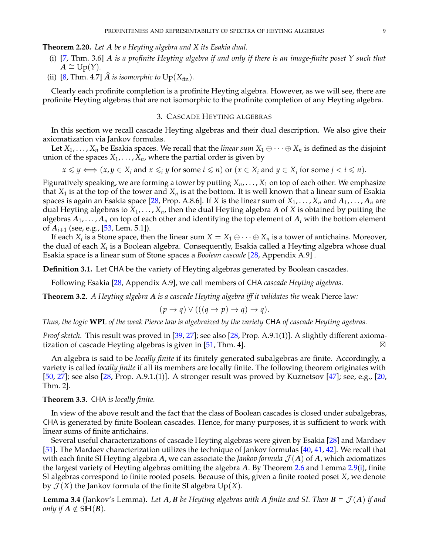<span id="page-8-2"></span>**Theorem 2.20.** *Let A be a Heyting algebra and X its Esakia dual.*

- <span id="page-8-3"></span>(i) [\[7,](#page-29-2) Thm. 3.6] *A is a profinite Heyting algebra if and only if there is an image-finite poset Y such that*  $A \cong \text{Up}(Y)$ .
- <span id="page-8-4"></span>(ii) [\[8,](#page-29-12) Thm. 4.7]  $\widehat{A}$  *is isomorphic to*  $Up(X_{fin})$ *.*

Clearly each profinite completion is a profinite Heyting algebra. However, as we will see, there are profinite Heyting algebras that are not isomorphic to the profinite completion of any Heyting algebra.

## 3. CASCADE HEYTING ALGEBRAS

<span id="page-8-0"></span>In this section we recall cascade Heyting algebras and their dual description. We also give their axiomatization via Jankov formulas.

Let  $X_1, \ldots, X_n$  be Esakia spaces. We recall that the *linear sum*  $X_1 \oplus \cdots \oplus X_n$  is defined as the disjoint union of the spaces  $X_1, \ldots, X_n$ , where the partial order is given by

$$
x \leq y \iff (x, y \in X_i \text{ and } x \leq_i y \text{ for some } i \leq n) \text{ or } (x \in X_i \text{ and } y \in X_j \text{ for some } j < i \leq n).
$$

Figuratively speaking, we are forming a tower by putting  $X_n, \ldots, X_1$  on top of each other. We emphasize that  $X_1$  is at the top of the tower and  $X_n$  is at the bottom. It is well known that a linear sum of Esakia spaces is again an Esakia space [\[28,](#page-30-9) Prop. A.8.6]. If *X* is the linear sum of  $X_1, \ldots, X_n$  and  $A_1, \ldots, A_n$  are dual Heyting algebras to *X*1, . . . , *Xn*, then the dual Heyting algebra *A* of *X* is obtained by putting the algebras  $A_1, \ldots, A_n$  on top of each other and identifying the top element of  $A_i$  with the bottom element of  $A_{i+1}$  (see, e.g., [\[53,](#page-30-26) Lem. 5.1]).

If each  $X_i$  is a Stone space, then the linear sum  $X = X_1 \oplus \cdots \oplus X_n$  is a tower of antichains. Moreover, the dual of each  $X_i$  is a Boolean algebra. Consequently, Esakia called a Heyting algebra whose dual Esakia space is a linear sum of Stone spaces a *Boolean cascade* [\[28,](#page-30-9) Appendix A.9] .

**Definition 3.1.** Let CHA be the variety of Heyting algebras generated by Boolean cascades.

Following Esakia [\[28,](#page-30-9) Appendix A.9], we call members of CHA *cascade Heyting algebras*.

**Theorem 3.2.** *A Heyting algebra A is a cascade Heyting algebra iff it validates the* weak Pierce law*:*

$$
(p \to q) \lor (((q \to p) \to q) \to q).
$$

*Thus, the logic* **WPL** *of the weak Pierce law is algebraized by the variety* CHA *of cascade Heyting agebras.*

*Proof sketch.* This result was proved in [\[39,](#page-30-27) [27\]](#page-30-28); see also [\[28,](#page-30-9) Prop. A.9.1(1)]. A slightly different axioma-tization of cascade Heyting algebras is given in [\[51,](#page-30-29) Thm. 4].  $\boxtimes$ 

An algebra is said to be *locally finite* if its finitely generated subalgebras are finite. Accordingly, a variety is called *locally finite* if all its members are locally finite. The following theorem originates with [\[50,](#page-30-30) [27\]](#page-30-28); see also [\[28,](#page-30-9) Prop. A.9.1.(1)]. A stronger result was proved by Kuznetsov [\[47\]](#page-30-31); see, e.g., [\[20,](#page-30-32) Thm. 2].

## <span id="page-8-1"></span>**Theorem 3.3.** CHA *is locally finite.*

In view of the above result and the fact that the class of Boolean cascades is closed under subalgebras, CHA is generated by finite Boolean cascades. Hence, for many purposes, it is sufficient to work with linear sums of finite antichains.

Several useful characterizations of cascade Heyting algebras were given by Esakia [\[28\]](#page-30-9) and Mardaev [\[51\]](#page-30-29). The Mardaev characterization utilizes the technique of Jankov formulas [\[40,](#page-30-33) [41,](#page-30-34) [42\]](#page-30-35). We recall that with each finite SI Heyting algebra *A*, we can associate the *Jankov formula*  $\mathcal{J}(A)$  of *A*, which axiomatizes the largest variety of Heyting algebras omitting the algebra *A*. By Theorem [2.6](#page-4-6) and Lemma [2.9](#page-5-5)[\(i\)](#page-5-1), finite SI algebras correspond to finite rooted posets. Because of this, given a finite rooted poset *X*, we denote by  $\mathcal{J}(X)$  the Jankov formula of the finite SI algebra  $Up(X)$ .

**Lemma 3.4** (Jankov's Lemma). Let A, B be Heyting algebras with A finite and SI. Then  $B \models \mathcal{J}(A)$  if and *only if*  $A \notin SH(B)$ *.*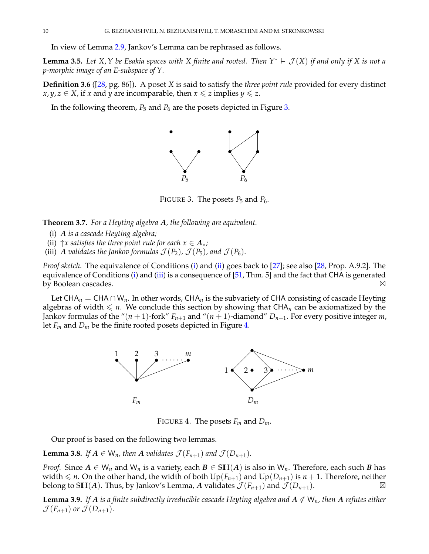In view of Lemma [2.9,](#page-5-5) Jankov's Lemma can be rephrased as follows.

<span id="page-9-8"></span>**Lemma 3.5.** Let X, Y be Esakia spaces with X finite and rooted. Then  $Y^* \models \mathcal{J}(X)$  if and only if X is not a *p-morphic image of an E-subspace of Y.*

**Definition 3.6** ([\[28,](#page-30-9) pg. 86])**.** A poset *X* is said to satisfy the *three point rule* provided for every distinct *x*, *y*, *z* ∈ *X*, if *x* and *y* are incomparable, then *x* ≤ *z* implies *y* ≤ *z*.

In the following theorem, *P*<sup>5</sup> and *P*<sup>6</sup> are the posets depicted in Figure [3.](#page-9-0)



<span id="page-9-0"></span>FIGURE 3. The posets  $P_5$  and  $P_6$ .

<span id="page-9-5"></span>**Theorem 3.7.** *For a Heyting algebra A, the following are equivalent.*

- <span id="page-9-1"></span>(i) *A is a cascade Heyting algebra;*
- <span id="page-9-2"></span>(ii)  $\uparrow x$  *satisfies the three point rule for each*  $x \in A_*$ ;
- <span id="page-9-3"></span>(iii) *A validates the Jankov formulas*  $\mathcal{J}(P_2)$ ,  $\mathcal{J}(P_5)$ , and  $\mathcal{J}(P_6)$ *.*

*Proof sketch.* The equivalence of Conditions [\(i\)](#page-9-1) and [\(ii\)](#page-9-2) goes back to [\[27\]](#page-30-28); see also [\[28,](#page-30-9) Prop. A.9.2]. The equivalence of Conditions [\(i\)](#page-9-1) and [\(iii\)](#page-9-3) is a consequence of [\[51,](#page-30-29) Thm. 5] and the fact that CHA is generated **by Boolean cascades.**  $\boxtimes$ 

Let CHA<sub>n</sub> = CHA ∩ W<sub>n</sub>. In other words, CHA<sub>n</sub> is the subvariety of CHA consisting of cascade Heyting algebras of width  $\leq n$ . We conclude this section by showing that CHA<sub>n</sub> can be axiomatized by the Jankov formulas of the " $(n + 1)$ -fork"  $F_{n+1}$  and " $(n + 1)$ -diamond"  $D_{n+1}$ . For every positive integer *m*, let  $F_m$  and  $D_m$  be the finite rooted posets depicted in Figure [4.](#page-9-4)



<span id="page-9-4"></span>FIGURE 4. The posets  $F_m$  and  $D_m$ .

Our proof is based on the following two lemmas.

<span id="page-9-6"></span>**Lemma 3.8.** *If*  $A \in W_n$ *, then*  $A$  *validates*  $\mathcal{J}(F_{n+1})$  *and*  $\mathcal{J}(D_{n+1})$ *.* 

*Proof.* Since  $A \in W_n$  and  $W_n$  is a variety, each  $B \in SH(A)$  is also in  $W_n$ . Therefore, each such *B* has width  $\leq n$ . On the other hand, the width of both  $Up(F_{n+1})$  and  $Up(D_{n+1})$  is  $n+1$ . Therefore, neither belong to SIH(A). Thus, by Jankov's Lemma, A validates  $\mathcal{J}(F_{n+1})$  and  $\mathcal{J}(D_{n+1})$ .  $\boxtimes$ 

<span id="page-9-7"></span>**Lemma 3.9.** If A is a finite subdirectly irreducible cascade Heyting algebra and  $A \notin W_n$ , then A refutes either  $\mathcal{J}(F_{n+1})$  or  $\mathcal{J}(D_{n+1})$ .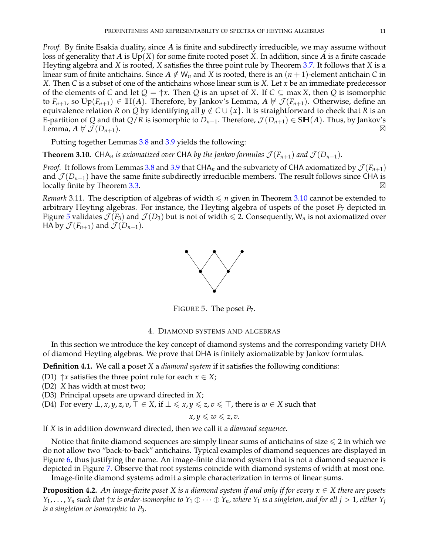*Proof.* By finite Esakia duality, since *A* is finite and subdirectly irreducible, we may assume without loss of generality that *A* is Up(*X*) for some finite rooted poset *X*. In addition, since *A* is a finite cascade Heyting algebra and *X* is rooted, *X* satisfies the three point rule by Theorem [3.7.](#page-9-5) It follows that *X* is a linear sum of finite antichains. Since  $A \notin W_n$  and *X* is rooted, there is an  $(n + 1)$ -element antichain *C* in *X*. Then *C* is a subset of one of the antichains whose linear sum is *X*. Let *x* be an immediate predecessor of the elements of *C* and let  $Q = \uparrow x$ . Then *Q* is an upset of *X*. If  $C \subseteq \max X$ , then *Q* is isomorphic to  $F_{n+1}$ , so  $Up(F_{n+1}) \in H(A)$ . Therefore, by Jankov's Lemma,  $A \not\vdash \mathcal{J}(F_{n+1})$ . Otherwise, define an equivalence relation *R* on *Q* by identifying all  $y \notin C \cup \{x\}$ . It is straightforward to check that *R* is an E-partition of *Q* and that *Q*/*R* is isomorphic to  $D_{n+1}$ . Therefore,  $\mathcal{J}(D_{n+1}) \in \text{SH}(A)$ . Thus, by Jankov's Lemma,  $A \not\vdash \mathcal{J}(D_{n+1})$ .

Putting together Lemmas [3.8](#page-9-6) and [3.9](#page-9-7) yields the following:

<span id="page-10-1"></span>**Theorem 3.10.** CHA<sub>n</sub> is axiomatized over CHA by the Jankov formulas  $\mathcal{J}(F_{n+1})$  and  $\mathcal{J}(D_{n+1})$ .

*Proof.* It follows from Lemmas [3.8](#page-9-6) and [3.9](#page-9-7) that CHA<sub>n</sub> and the subvariety of CHA axiomatized by  $\mathcal{J}(F_{n+1})$ and  $\mathcal{J}(D_{n+1})$  have the same finite subdirectly irreducible members. The result follows since CHA is **locally finite by Theorem [3.3.](#page-8-1)**  $\boxtimes$ 

*Remark* 3.11. The description of algebras of width  $\leq n$  given in Theorem [3.10](#page-10-1) cannot be extended to arbitrary Heyting algebras. For instance, the Heyting algebra of uspets of the poset  $P<sub>7</sub>$  depicted in Figure [5](#page-10-2) validates  $\mathcal{J}(F_3)$  and  $\mathcal{J}(D_3)$  but is not of width  $\leq 2$ . Consequently, W<sub>n</sub> is not axiomatized over HA by  $\mathcal{J}(F_{n+1})$  and  $\mathcal{J}(D_{n+1})$ .



<span id="page-10-2"></span>FIGURE 5. The poset  $P_7$ .

## 4. DIAMOND SYSTEMS AND ALGEBRAS

<span id="page-10-0"></span>In this section we introduce the key concept of diamond systems and the corresponding variety DHA of diamond Heyting algebras. We prove that DHA is finitely axiomatizable by Jankov formulas.

<span id="page-10-8"></span>**Definition 4.1.** We call a poset *X* a *diamond system* if it satisfies the following conditions:

- <span id="page-10-3"></span>(D1)  $\uparrow x$  satisfies the three point rule for each  $x \in X$ ;
- <span id="page-10-4"></span>(D2) *X* has width at most two;
- <span id="page-10-6"></span>(D3) Principal upsets are upward directed in *X*;
- <span id="page-10-5"></span>(D4) For every  $\perp$ , *x*, *y*, *z*, *v*,  $\top \in X$ , if  $\perp \leq x$ ,  $y \leq z$ ,  $v \leq \top$ , there is  $w \in X$  such that

$$
x,y\leqslant w\leqslant z,v.
$$

If *X* is in addition downward directed, then we call it a *diamond sequence*.

Notice that finite diamond sequences are simply linear sums of antichains of size  $\leq 2$  in which we do not allow two "back-to-back" antichains. Typical examples of diamond sequences are displayed in Figure [6,](#page-11-0) thus justifying the name. An image-finite diamond system that is not a diamond sequence is depicted in Figure [7.](#page-11-1) Observe that root systems coincide with diamond systems of width at most one.

Image-finite diamond systems admit a simple characterization in terms of linear sums.

<span id="page-10-7"></span>**Proposition 4.2.** *An image-finite poset X is a diamond system if and only if for every x* ∈ *X there are posets*  $Y_1,\ldots,Y_n$  such that  $\uparrow x$  is order-isomorphic to  $Y_1\oplus\cdots\oplus Y_n$ , where  $Y_1$  is a singleton, and for all  $j>1$ , either  $Y_j$ *is a singleton or isomorphic to P*3*.*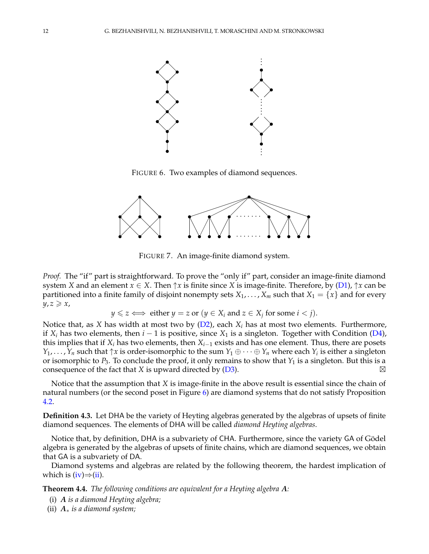

<span id="page-11-0"></span>FIGURE 6. Two examples of diamond sequences.



<span id="page-11-1"></span>FIGURE 7. An image-finite diamond system.

*Proof.* The "if" part is straightforward. To prove the "only if" part, consider an image-finite diamond system *X* and an element  $x \in X$ . Then  $\uparrow x$  is finite since *X* is image-finite. Therefore, by [\(D1\)](#page-10-3),  $\uparrow x$  can be partitioned into a finite family of disjoint nonempty sets  $X_1, \ldots, X_m$  such that  $X_1 = \{x\}$  and for every  $y, z \geqslant x$ ,

 $y \leq z \iff \text{either } y = z \text{ or } (y \in X_i \text{ and } z \in X_j \text{ for some } i < j).$ 

Notice that, as *X* has width at most two by [\(D2\)](#page-10-4), each *X<sup>i</sup>* has at most two elements. Furthermore, if *X<sup>i</sup>* has two elements, then *i* − 1 is positive, since *X*<sup>1</sup> is a singleton. Together with Condition [\(D4\)](#page-10-5), this implies that if  $X_i$  has two elements, then  $X_{i-1}$  exists and has one element. Thus, there are posets *Y*<sub>1</sub>, . . . , *Y*<sub>*n*</sub> such that  $\uparrow x$  is order-isomorphic to the sum  $Y_1 \oplus \cdots \oplus Y_n$  where each  $Y_i$  is either a singleton or isomorphic to  $P_3$ . To conclude the proof, it only remains to show that  $Y_1$  is a singleton. But this is a consequence of the fact that *X* is upward directed by  $(D3)$ .  $\boxtimes$ 

Notice that the assumption that *X* is image-finite in the above result is essential since the chain of natural numbers (or the second poset in Figure [6\)](#page-11-0) are diamond systems that do not satisfy Proposition [4.2.](#page-10-7)

**Definition 4.3.** Let DHA be the variety of Heyting algebras generated by the algebras of upsets of finite diamond sequences. The elements of DHA will be called *diamond Heyting algebras*.

Notice that, by definition, DHA is a subvariety of CHA. Furthermore, since the variety GA of Gödel algebra is generated by the algebras of upsets of finite chains, which are diamond sequences, we obtain that GA is a subvariety of DA.

Diamond systems and algebras are related by the following theorem, the hardest implication of which is  $(iv) \Rightarrow (ii)$  $(iv) \Rightarrow (ii)$  $(iv) \Rightarrow (ii)$ .

<span id="page-11-4"></span>**Theorem 4.4.** *The following conditions are equivalent for a Heyting algebra A:*

<span id="page-11-3"></span>(i) *A is a diamond Heyting algebra;*

<span id="page-11-2"></span>(ii) *A*∗ *is a diamond system;*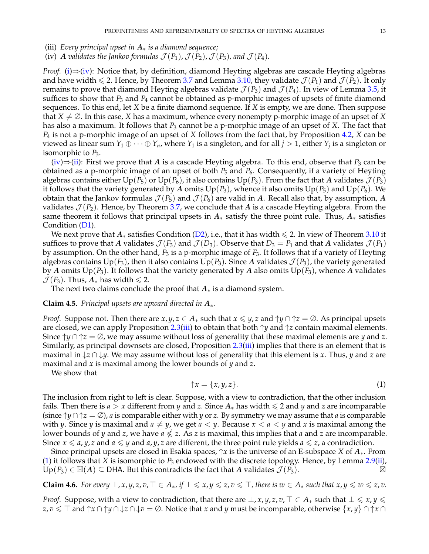<span id="page-12-2"></span>(iii) *Every principal upset in A*∗ *is a diamond sequence;*

<span id="page-12-0"></span>(iv) *A validates the Jankov formulas*  $\mathcal{J}(P_1)$ ,  $\mathcal{J}(P_2)$ ,  $\mathcal{J}(P_3)$ , and  $\mathcal{J}(P_4)$ .

*Proof.* [\(i\)](#page-11-3)⇒[\(iv\)](#page-12-0): Notice that, by definition, diamond Heyting algebras are cascade Heyting algebras and have width  $\leq 2$ . Hence, by Theorem [3.7](#page-9-5) and Lemma [3.10,](#page-10-1) they validate  $\mathcal{J}(P_1)$  and  $\mathcal{J}(P_2)$ . It only remains to prove that diamond Heyting algebras validate  $\mathcal{J}(P_3)$  and  $\mathcal{J}(P_4)$ . In view of Lemma [3.5,](#page-9-8) it suffices to show that *P*<sup>3</sup> and *P*<sup>4</sup> cannot be obtained as p-morphic images of upsets of finite diamond sequences. To this end, let *X* be a finite diamond sequence. If *X* is empty, we are done. Then suppose that  $X \neq \emptyset$ . In this case, *X* has a maximum, whence every nonempty p-morphic image of an upset of *X* has also a maximum. It follows that *P*<sup>3</sup> cannot be a p-morphic image of an upset of *X*. The fact that *P*<sup>4</sup> is not a p-morphic image of an upset of *X* follows from the fact that, by Proposition [4.2,](#page-10-7) *X* can be viewed as linear sum  $Y_1 \oplus \cdots \oplus Y_n$ , where  $Y_1$  is a singleton, and for all  $j > 1$ , either  $Y_j$  is a singleton or isomorphic to *P*<sub>3</sub>.

[\(iv\)](#page-12-0)⇒[\(ii\)](#page-11-2): First we prove that *A* is a cascade Heyting algebra. To this end, observe that *P*<sup>3</sup> can be obtained as a p-morphic image of an upset of both  $P_5$  and  $P_6$ . Consequently, if a variety of Heyting algebras contains either  $Up(P_5)$  or  $Up(P_6)$ , it also contains  $Up(P_3)$ . From the fact that *A* validates  $\mathcal{J}(P_3)$ it follows that the variety generated by *A* omits  $Up(P_3)$ , whence it also omits  $Up(P_5)$  and  $Up(P_6)$ . We obtain that the Jankov formulas  $\mathcal{J}(P_5)$  and  $\mathcal{J}(P_6)$  are valid in A. Recall also that, by assumption, A validates  $\mathcal{J}(P_2)$ . Hence, by Theorem [3.7,](#page-9-5) we conclude that A is a cascade Heyting algebra. From the same theorem it follows that principal upsets in *A*∗ satisfy the three point rule. Thus, *A*∗ satisfies Condition [\(D1\)](#page-10-3).

We next prove that  $A_*$  satisfies Condition [\(D2\)](#page-10-4), i.e., that it has width  $\leqslant 2$ . In view of Theorem [3.10](#page-10-1) it suffices to prove that *A* validates  $\mathcal{J}(F_3)$  and  $\mathcal{J}(D_3)$ . Observe that  $D_3 = P_1$  and that *A* validates  $\mathcal{J}(P_1)$ by assumption. On the other hand, *P*<sup>3</sup> is a p-morphic image of *F*3. It follows that if a variety of Heyting algebras contains  $Up(F_3)$ , then it also contains  $Up(P_3)$ . Since *A* validates  $\mathcal{J}(P_3)$ , the variety generated by *A* omits  $Up(P_3)$ . It follows that the variety generated by *A* also omits  $Up(F_3)$ , whence *A* validates  $\mathcal{J}(F_3)$ . Thus,  $A_*$  has width  $\leq 2$ .

The next two claims conclude the proof that  $A_*$  is a diamond system.

## <span id="page-12-3"></span>**Claim 4.5.** *Principal upsets are upward directed in A*∗*.*

*Proof.* Suppose not. Then there are *x*, *y*,  $z \in A_*$  such that  $x \le y$ , *z* and  $\gamma y \cap \gamma z = \emptyset$ . As principal upsets are closed, we can apply Proposition [2.3](#page-4-5)[\(iii\)](#page-4-2) to obtain that both ↑*y* and ↑*z* contain maximal elements. Since  $\uparrow y \cap \uparrow z = \emptyset$ , we may assume without loss of generality that these maximal elements are *y* and *z*. Similarly, as principal downsets are closed, Proposition  $2.3(iii)$  $2.3(iii)$  implies that there is an element that is maximal in ↓*z* ∩ ↓*y*. We may assume without loss of generality that this element is *x*. Thus, *y* and *z* are maximal and *x* is maximal among the lower bounds of *y* and *z*.

We show that

<span id="page-12-1"></span>
$$
\uparrow x = \{x, y, z\}.\tag{1}
$$

The inclusion from right to left is clear. Suppose, with a view to contradiction, that the other inclusion fails. Then there is *a* > *x* different from *y* and *z*. Since  $A_*$  has width  $\leq$  2 and *y* and *z* are incomparable (since ↑*y*∩ ↑*z* = ∅), *a* is comparable either with *y* or *z*. By symmetry we may assume that *a* is comparable with *y*. Since *y* is maximal and  $a \neq y$ , we get  $a < y$ . Because  $x < a < y$  and *x* is maximal among the lower bounds of *y* and *z*, we have *a z*. As *z* is maximal, this implies that *a* and *z* are incomparable. Since  $x \le a$ , *y*, *z* and  $a \le y$  and  $a$ , *y*, *z* are different, the three point rule yields  $a \le z$ , a contradiction.

Since principal upsets are closed in Esakia spaces, ↑*x* is the universe of an E-subspace *X* of *A*∗. From [\(1\)](#page-12-1) it follows that *X* is isomorphic to *P*<sub>3</sub> endowed with the discrete topology. Hence, by Lemma [2.9](#page-5-5)[\(ii\)](#page-5-2),  $\text{Un}(P_2) \in \mathbb{H}(A) \subset \text{DHA}$ . But this contradicts the fact that *A* validates  $\mathcal{I}(P_2)$ . Up( $P_3$ ) ∈ H( $A$ ) ⊆ DHA. But this contradicts the fact that  $A$  validates  $\mathcal{J}(P_3)$ .

<span id="page-12-4"></span>**Claim 4.6.** For every  $\perp$ , x, y, z, v,  $\top \in A_*,$  if  $\perp \leq x$ ,  $y \leq z$ ,  $v \leq \top$ , there is  $w \in A_*$  such that  $x, y \leq w \leq z$ , v.

*Proof.* Suppose, with a view to contradiction, that there are  $\bot$ , *x*, *y*, *z*, *v*,  $\top \in A_*$  such that  $\bot \leq x, y \leq 0$ *z*,  $v \leq T$  and  $\uparrow x \cap \uparrow y \cap \downarrow z \cap \downarrow v = \emptyset$ . Notice that *x* and *y* must be incomparable, otherwise  $\{x, y\} \cap \uparrow x \cap \uparrow v$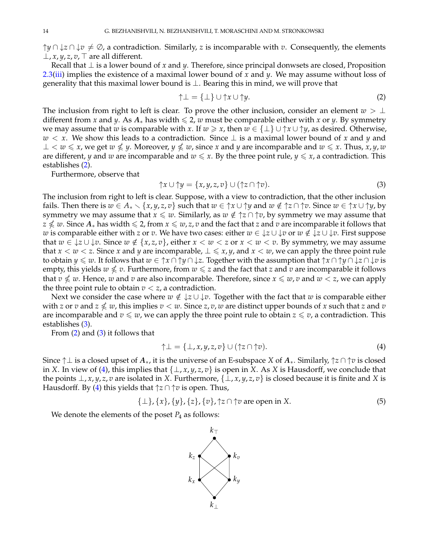$\uparrow y \cap \downarrow z \cap \downarrow v \neq \emptyset$ , a contradiction. Similarly, *z* is incomparable with *v*. Consequently, the elements  $⊥$ , *x*, *y*, *z*, *v*,  $⊤$  are all different.

Recall that ⊥ is a lower bound of *x* and *y*. Therefore, since principal donwsets are closed, Proposition [2.3\(](#page-4-5)[iii\)](#page-4-2) implies the existence of a maximal lower bound of *x* and *y*. We may assume without loss of generality that this maximal lower bound is  $\perp$ . Bearing this in mind, we will prove that

<span id="page-13-0"></span>
$$
\uparrow \perp = {\perp} \cup \uparrow x \cup \uparrow y. \tag{2}
$$

The inclusion from right to left is clear. To prove the other inclusion, consider an element  $w > \perp$ different from *x* and *y*. As  $A_*$  has width  $\leq 2$ , *w* must be comparable either with *x* or *y*. By symmetry we may assume that *w* is comparable with *x*. If  $w \ge x$ , then  $w \in {\perp} \cup {\uparrow} x \cup {\uparrow} y$ , as desired. Otherwise, *w* < *x*. We show this leads to a contradiction. Since ⊥ is a maximal lower bound of *x* and *y* and  $\bot$  < *w* ≤ *x*, we get *w* ≰ *y*. Moreover, *y* ≰ *w*, since *x* and *y* are incomparable and *w* ≤ *x*. Thus, *x*, *y*, *w* are different, *y* and *w* are incomparable and  $w \leq x$ . By the three point rule,  $y \leq x$ , a contradiction. This establishes [\(2\)](#page-13-0).

Furthermore, observe that

<span id="page-13-1"></span>
$$
\uparrow x \cup \uparrow y = \{x, y, z, v\} \cup (\uparrow z \cap \uparrow v). \tag{3}
$$

The inclusion from right to left is clear. Suppose, with a view to contradiction, that the other inclusion fails. Then there is  $w \in A_* \setminus \{x, y, z, v\}$  such that  $w \in \uparrow x \cup \uparrow y$  and  $w \notin \uparrow z \cap \uparrow v$ . Since  $w \in \uparrow x \cup \uparrow y$ , by symmetry we may assume that  $x \leq w$ . Similarly, as  $w \notin \uparrow z \cap \uparrow v$ , by symmetry we may assume that *z* ≰ *w*. Since  $A_*$  has width ≤ 2, from  $x \le w$ , *z*, *v* and the fact that *z* and *v* are incomparable it follows that *w* is comparable either with *z* or *v*. We have two cases: either  $w \in \{z \cup \{v\} \text{ or } w \notin \{z \cup \{v\} \}$ . First suppose that *w* ∈  $\downarrow$ *z* ∪  $\downarrow$ *v*. Since *w* ∉ {*x, z, v*}, either *x* < *w* < *z* or *x* < *w* < *v*. By symmetry, we may assume that  $x < w < z$ . Since *x* and *y* are incomparable,  $\perp \leq x, y$ , and  $x < w$ , we can apply the three point rule to obtain *y* 6 *w*. It follows that *w* ∈ ↑*x* ∩ ↑*y* ∩ ↓*z*. Together with the assumption that ↑*x* ∩ ↑*y* ∩ ↓*z* ∩ ↓*v* is empty, this yields  $w \nleq v$ . Furthermore, from  $w \leq z$  and the fact that  $z$  and  $v$  are incomparable it follows that  $v \nleq w$ . Hence,  $w$  and  $v$  are also incomparable. Therefore, since  $x \leq w$ ,  $v$  and  $w < z$ , we can apply the three point rule to obtain  $v < z$ , a contradiction.

Next we consider the case where  $w \notin \{z \cup \{v\} \}$ . Together with the fact that  $w$  is comparable either with *z* or *v* and  $z \nleq w$ , this implies  $v < w$ . Since *z*, *v*, *w* are distinct upper bounds of *x* such that *z* and *v* are incomparable and  $v \leq w$ , we can apply the three point rule to obtain  $z \leq v$ , a contradiction. This establishes [\(3\)](#page-13-1).

From [\(2\)](#page-13-0) and [\(3\)](#page-13-1) it follows that

<span id="page-13-2"></span>
$$
\uparrow \perp = \{\perp, x, y, z, v\} \cup (\uparrow z \cap \uparrow v). \tag{4}
$$

Since ↑⊥ is a closed upset of *A*∗, it is the universe of an E-subspace *X* of *A*∗. Similarly, ↑*z* ∩ ↑*v* is closed in *X*. In view of [\(4\)](#page-13-2), this implies that  $\{\perp, x, y, z, v\}$  is open in *X*. As *X* is Hausdorff, we conclude that the points  $\perp$ , *x*, *y*, *z*, *v* are isolated in *X*. Furthermore,  $\{\perp$ , *x*, *y*, *z*, *v*} is closed because it is finite and *X* is Hausdorff. By [\(4\)](#page-13-2) this yields that  $\uparrow$ *z*  $\cap \uparrow v$  is open. Thus,

<span id="page-13-3"></span>
$$
\{\perp\}, \{x\}, \{y\}, \{z\}, \{v\}, \uparrow z \cap \uparrow v \text{ are open in } X. \tag{5}
$$

We denote the elements of the poset  $P_4$  as follows:

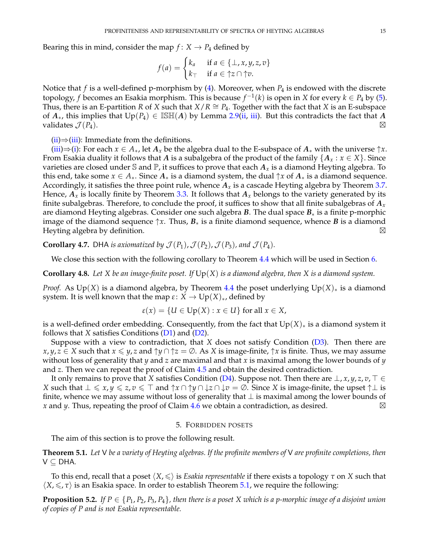Bearing this in mind, consider the map  $f: X \rightarrow P_4$  defined by

$$
f(a) = \begin{cases} k_a & \text{if } a \in \{\bot, x, y, z, v\} \\ k_{\top} & \text{if } a \in \uparrow z \cap \uparrow v. \end{cases}
$$

Notice that *f* is a well-defined p-morphism by [\(4\)](#page-13-2). Moreover, when *P*<sup>4</sup> is endowed with the discrete topology, *f* becomes an Esakia morphism. This is because  $f^{-1}(k)$  is open in *X* for every  $k \in P_4$  by [\(5\)](#page-13-3). Thus, there is an E-partition *R* of *X* such that  $X/R \cong P_4$ . Together with the fact that *X* is an E-subspace of  $A_{*}$ , this implies that  $Up(P_4) \in \mathbb{ISH}(A)$  by Lemma [2.9](#page-5-5)[\(ii,](#page-5-2) [iii\)](#page-5-3). But this contradicts the fact that A validates  $\mathcal{J}(P_4)$ .

 $(ii) \Rightarrow (iii)$  $(ii) \Rightarrow (iii)$  $(ii) \Rightarrow (iii)$ : Immediate from the definitions.

[\(iii\)](#page-12-2)⇒[\(i\)](#page-11-3): For each  $x \in A_*$ , let  $A_x$  be the algebra dual to the E-subspace of  $A_*$  with the universe  $\uparrow x$ . From Esakia duality it follows that *A* is a subalgebra of the product of the family  $\{A_x : x \in X\}$ . Since varieties are closed under  $\mathbb S$  and  $\mathbb P$ , it suffices to prove that each  $A_x$  is a diamond Heyting algebra. To this end, take some  $x \in A_*$ . Since  $A_*$  is a diamond system, the dual  $\uparrow x$  of  $A_*$  is a diamond sequence. Accordingly, it satisfies the three point rule, whence  $A_x$  is a cascade Heyting algebra by Theorem [3.7.](#page-9-5) Hence,  $A_x$  is locally finite by Theorem [3.3.](#page-8-1) It follows that  $A_x$  belongs to the variety generated by its finite subalgebras. Therefore, to conclude the proof, it suffices to show that all finite subalgebras of *A<sup>x</sup>* are diamond Heyting algebras. Consider one such algebra *B*. The dual space *B*∗ is a finite p-morphic image of the diamond sequence  $\uparrow x$ . Thus,  $B_*$  is a finite diamond sequence, whence *B* is a diamond Heyting algebra by definition.  $\boxtimes$ 

<span id="page-14-3"></span>**Corollary 4.7.** DHA *is axiomatized by*  $\mathcal{J}(P_1)$ ,  $\mathcal{J}(P_2)$ ,  $\mathcal{J}(P_3)$ , and  $\mathcal{J}(P_4)$ .

We close this section with the following corollary to Theorem [4.4](#page-11-4) which will be used in Section [6.](#page-20-0)

<span id="page-14-4"></span>**Corollary 4.8.** *Let X be an image-finite poset. If* Up(*X*) *is a diamond algebra, then X is a diamond system.*

*Proof.* As Up(*X*) is a diamond algebra, by Theorem [4.4](#page-11-4) the poset underlying Up(*X*)<sub>∗</sub> is a diamond system. It is well known that the map  $\varepsilon$ :  $X \to \mathrm{Up}(X)_*$ , defined by

$$
\varepsilon(x) = \{U \in \text{Up}(X) : x \in U\} \text{ for all } x \in X,
$$

is a well-defined order embedding. Consequently, from the fact that  $Up(X)_*$  is a diamond system it follows that *X* satisfies Conditions [\(D1\)](#page-10-3) and [\(D2\)](#page-10-4).

Suppose with a view to contradiction, that *X* does not satisfy Condition [\(D3\)](#page-10-6). Then there are *x*, *y*, *z* ∈ *X* such that *x* ≤ *y*, *z* and  $\uparrow$ *y* ∩  $\uparrow$  *z* = ∅. As *X* is image-finite,  $\uparrow$  *x* is finite. Thus, we may assume without loss of generality that *y* and *z* are maximal and that *x* is maximal among the lower bounds of *y* and *z*. Then we can repeat the proof of Claim [4.5](#page-12-3) and obtain the desired contradiction.

It only remains to prove that *X* satisfies Condition [\(D4\)](#page-10-5). Suppose not. Then there are  $\bot$ , *x*, *y*, *z*, *v*,  $\top \in$ *X* such that  $\bot \leq x, y \leq z, v \leq \top$  and  $\uparrow x \cap \uparrow y \cap \downarrow z \cap \downarrow v = \emptyset$ . Since *X* is image-finite, the upset  $\uparrow \bot$  is finite, whence we may assume without loss of generality that  $\perp$  is maximal among the lower bounds of *x* and *y*. Thus, repeating the proof of Claim [4.6](#page-12-4) we obtain a contradiction, as desired.  $\boxtimes$ 

#### 5. FORBIDDEN POSETS

<span id="page-14-0"></span>The aim of this section is to prove the following result.

<span id="page-14-1"></span>**Theorem 5.1.** *Let* V *be a variety of Heyting algebras. If the profinite members of* V *are profinite completions, then* V ⊆ DHA*.*

To this end, recall that a poset  $\langle X, \leq \rangle$  is *Esakia representable* if there exists a topology  $\tau$  on *X* such that  $\langle X, \leq, \tau \rangle$  is an Esakia space. In order to establish Theorem [5.1,](#page-14-1) we require the following:

<span id="page-14-2"></span>**Proposition 5.2.** *If*  $P \in \{P_1, P_2, P_3, P_4\}$ , then there is a poset *X* which is a p-morphic image of a disjoint union *of copies of P and is not Esakia representable.*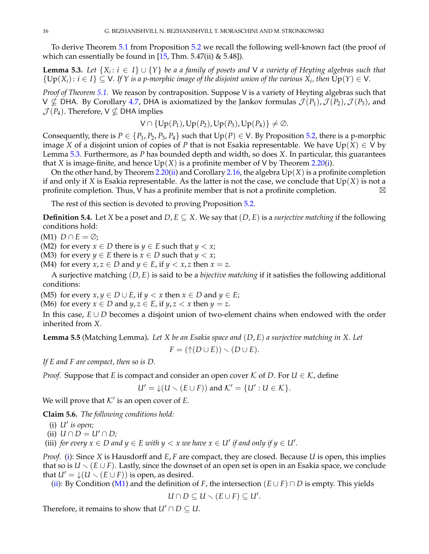To derive Theorem [5.1](#page-14-1) from Proposition [5.2](#page-14-2) we recall the following well-known fact (the proof of which can essentially be found in  $[15, Thm. 5.47(ii) \& 5.48]$  $[15, Thm. 5.47(ii) \& 5.48]$ .

<span id="page-15-0"></span>**Lemma 5.3.** *Let* {*X<sup>i</sup>* : *i* ∈ *I*} ∪ {*Y*} *be a a family of posets and* V *a variety of Heyting algebras such that*  $\{Up(X_i): i \in I\} \subseteq V$ . If  $Y$  is a p-morphic image of the disjoint union of the various  $X_i$ , then  $Up(Y) \in V$ .

*Proof of Theorem [5.1.](#page-14-1)* We reason by contraposition. Suppose V is a variety of Heyting algebras such that  $V \nsubseteq$  DHA. By Corollary [4.7,](#page-14-3) DHA is axiomatized by the Jankov formulas  $\mathcal{J}(P_1)$ ,  $\mathcal{J}(P_2)$ ,  $\mathcal{J}(P_3)$ , and  $\mathcal{J}(P_4)$ . Therefore,  $V \nsubseteq$  DHA implies

$$
V \cap \{Up(P_1), Up(P_2), Up(P_3), Up(P_4)\} \neq \emptyset.
$$

Consequently, there is  $P \in \{P_1, P_2, P_3, P_4\}$  such that  $Up(P) \in V$ . By Proposition [5.2,](#page-14-2) there is a p-morphic image *X* of a disjoint union of copies of *P* that is not Esakia representable. We have  $Up(X) \in V$  by Lemma [5.3.](#page-15-0) Furthermore, as *P* has bounded depth and width, so does *X*. In particular, this guarantees that *X* is image-finite, and hence  $Up(X)$  is a profinite member of *V* by Theorem [2.20](#page-8-2)[\(i\)](#page-8-3).

On the other hand, by Theorem [2.20](#page-8-2)[\(ii\)](#page-8-4) and Corollary [2.16,](#page-6-5) the algebra  $Up(X)$  is a profinite completion if and only if *X* is Esakia representable. As the latter is not the case, we conclude that  $Up(X)$  is not a profinite completion. Thus, V has a profinite member that is not a profinite completion.  $\boxtimes$ 

The rest of this section is devoted to proving Proposition [5.2.](#page-14-2)

**Definition 5.4.** Let *X* be a poset and *D*,  $E \subseteq X$ . We say that  $(D, E)$  is a *surjective matching* if the following conditions hold:

<span id="page-15-3"></span> $(M1)$   $D \cap E = \emptyset$ ;

<span id="page-15-5"></span>(M2) for every  $x \in D$  there is  $y \in E$  such that  $y < x$ ;

<span id="page-15-4"></span>(M3) for every *y*  $\in$  *E* there is *x*  $\in$  *D* such that *y*  $\lt$  *x*;

<span id="page-15-6"></span>(M4) for every *x*, *z*  $\in$  *D* and *y*  $\in$  *E*, if *y*  $\lt$  *x*, *z* then *x* = *z*.

A surjective matching (*D*, *E*) is said to be a *bijective matching* if it satisfies the following additional conditions:

(M5) for every  $x, y \in D \cup E$ , if  $y < x$  then  $x \in D$  and  $y \in E$ ;

(M6) for every  $x \in D$  and  $y, z \in E$ , if  $y, z < x$  then  $y = z$ .

In this case, *E* ∪ *D* becomes a disjoint union of two-element chains when endowed with the order inherited from *X*.

**Lemma 5.5** (Matching Lemma)**.** *Let X be an Esakia space and* (*D*, *E*) *a surjective matching in X. Let*

$$
F = (\uparrow(D \cup E)) \smallsetminus (D \cup E).
$$

*If E and F are compact, then so is D.*

*Proof.* Suppose that *E* is compact and consider an open cover *K* of *D*. For  $U \in K$ , define

$$
U' = \downarrow (U \setminus (E \cup F)) \text{ and } \mathcal{K}' = \{U' : U \in \mathcal{K}\}.
$$

We will prove that  $K'$  is an open cover of  $E$ .

**Claim 5.6.** *The following conditions hold:*

<span id="page-15-1"></span>(i) *U*<sup>0</sup> *is open;*

<span id="page-15-2"></span>(ii)  $U \cap D = U' \cap D$ ;

<span id="page-15-7"></span>(iii) *for every*  $x \in D$  and  $y \in E$  with  $y < x$  we have  $x \in U'$  if and only if  $y \in U'$ .

*Proof.* [\(i\)](#page-15-1): Since *X* is Hausdorff and *E*, *F* are compact, they are closed. Because *U* is open, this implies that so is  $U \setminus (E \cup F)$ . Lastly, since the downset of an open set is open in an Esakia space, we conclude that  $U' = \downarrow (U \setminus (E \cup F))$  is open, as desired.

[\(ii\)](#page-15-2): By Condition [\(M1\)](#page-15-3) and the definition of *F*, the intersection  $(E \cup F) \cap D$  is empty. This yields

$$
U\cap D\subseteq U\setminus (E\cup F)\subseteq U'.
$$

Therefore, it remains to show that  $U' \cap D \subseteq U$ .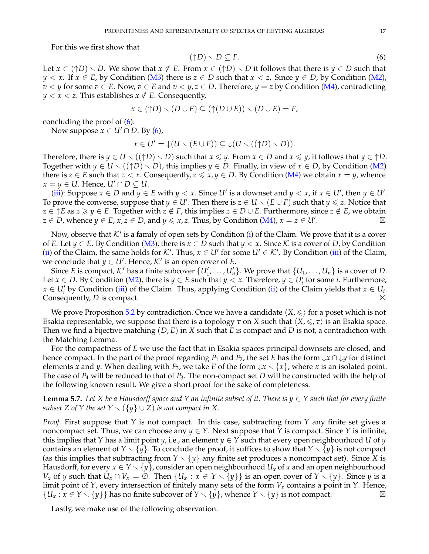For this we first show that

<span id="page-16-0"></span>
$$
(\uparrow D) \smallsetminus D \subseteq F. \tag{6}
$$

Let  $x \in (\uparrow D) \setminus D$ . We show that  $x \notin E$ . From  $x \in (\uparrow D) \setminus D$  it follows that there is  $y \in D$  such that *y* < *x*. If *x* ∈ *E*, by Condition [\(M3\)](#page-15-4) there is *z* ∈ *D* such that *x* < *z*. Since *y* ∈ *D*, by Condition [\(M2\)](#page-15-5), *v*  $\lt$  *y* for some *v* ∈ *E*. Now, *v* ∈ *E* and *v*  $\lt$  *y*, *z* ∈ *D*. Therefore, *y* = *z* by Condition [\(M4\)](#page-15-6), contradicting  $y < x < z$ . This establishes  $x \notin E$ . Consequently,

$$
x \in (\uparrow D) \setminus (D \cup E) \subseteq (\uparrow (D \cup E)) \setminus (D \cup E) = F,
$$

concluding the proof of [\(6\)](#page-16-0).

Now suppose  $x \in U' \cap D$ . By [\(6\)](#page-16-0),

$$
x \in U' = \downarrow (U \setminus (E \cup F)) \subseteq \downarrow (U \setminus ((\uparrow D) \setminus D)).
$$

Therefore, there is  $y \in U \setminus ((\uparrow D) \setminus D)$  such that  $x \leq y$ . From  $x \in D$  and  $x \leq y$ , it follows that  $y \in \uparrow D$ . Together with  $y \in U \setminus ((\uparrow D) \setminus D)$ , this implies  $y \in D$ . Finally, in view of  $x \in D$ , by Condition [\(M2\)](#page-15-5) there is  $z \in E$  such that  $z \le x$ . Consequently,  $z \le x$ ,  $y \in D$ . By Condition [\(M4\)](#page-15-6) we obtain  $x = y$ , whence *x* = *y* ∈ *U*. Hence, *U'* ∩ *D* ⊆ *U*.

[\(iii\)](#page-15-7): Suppose  $x \in D$  and  $y \in E$  with  $y < x$ . Since  $U'$  is a downset and  $y < x$ , if  $x \in U'$ , then  $y \in U'$ . To prove the converse, suppose that  $y \in U'$ . Then there is  $z \in U \setminus (E \cup F)$  such that  $y \leqslant z$ . Notice that *z* ∈  $\uparrow$  *E* as *z* ≥ *y* ∈ *E*. Together with *z* ∉ *F*, this implies *z* ∈ *D* ∪ *E*. Furthermore, since *z* ∉ *E*, we obtain *z* ∈ *D*, whence *y* ∈ *E*, *x*, *z* ∈ *D*, and *y* ≤ *x*, *z*. Thus, by Condition [\(M4\)](#page-15-6), *x* = *z* ∈ *U'*. .  $\boxtimes$ 

Now, observe that  $K'$  is a family of open sets by Condition [\(i\)](#page-15-1) of the Claim. We prove that it is a cover of *E*. Let  $y \in E$ . By Condition [\(M3\)](#page-15-4), there is  $x \in D$  such that  $y < x$ . Since K is a cover of *D*, by Condition [\(ii\)](#page-15-2) of the Claim, the same holds for  $K'$ . Thus,  $x \in U'$  for some  $U' \in K'$ . By Condition [\(iii\)](#page-15-7) of the Claim, we conclude that  $y \in U'$ . Hence,  $\mathcal{K}'$  is an open cover of *E*.

Since *E* is compact,  $K'$  has a finite subcover  $\{U'_1, \ldots, U'_n\}$ . We prove that  $\{U_1, \ldots, U_n\}$  is a cover of *D*. Let  $x \in D$ . By Condition [\(M2\)](#page-15-5), there is  $y \in E$  such that  $y < x$ . Therefore,  $y \in U_i'$  for some *i*. Furthermore,  $x \in U'_{i}$  by Condition [\(iii\)](#page-15-7) of the Claim. Thus, applying Condition [\(ii\)](#page-15-2) of the Claim yields that  $x \in U_{i}$ . **Consequently,** *D* **is compact.**  $\boxtimes$ 

We prove Proposition [5.2](#page-14-2) by contradiction. Once we have a candidate  $\langle X, \leq \rangle$  for a poset which is not Esakia representable, we suppose that there is a topology  $\tau$  on *X* such that  $\langle X, \leq, \tau \rangle$  is an Esakia space. Then we find a bijective matching (*D*, *E*) in *X* such that *E* is compact and *D* is not, a contradiction with the Matching Lemma.

For the compactness of *E* we use the fact that in Esakia spaces principal downsets are closed, and hence compact. In the part of the proof regarding  $P_1$  and  $P_2$ , the set *E* has the form  $\downarrow x \cap \downarrow y$  for distinct elements *x* and *y*. When dealing with  $P_3$ , we take *E* of the form  $\downarrow x \setminus \{x\}$ , where *x* is an isolated point. The case of *P*<sup>4</sup> will be reduced to that of *P*3. The non-compact set *D* will be constructed with the help of the following known result. We give a short proof for the sake of completeness.

<span id="page-16-1"></span>**Lemma 5.7.** Let *X* be a Hausdorff space and *Y* an infinite subset of it. There is  $y \in Y$  such that for every finite *subset Z* of *Y* the set  $Y \setminus (\{y\} \cup Z)$  *is not compact in X*.

*Proof.* First suppose that *Y* is not compact. In this case, subtracting from *Y* any finite set gives a noncompact set. Thus, we can choose any  $y \in Y$ . Next suppose that *Y* is compact. Since *Y* is infinite, this implies that *Y* has a limit point *y*, i.e., an element  $y \in Y$  such that every open neighbourhood *U* of *y* contains an element of  $Y \setminus \{y\}$ . To conclude the proof, it suffices to show that  $Y \setminus \{y\}$  is not compact (as this implies that subtracting from  $Y \setminus \{y\}$  any finite set produces a noncompact set). Since *X* is Hausdorff, for every  $x \in Y \setminus \{y\}$ , consider an open neighbourhood  $U_x$  of x and an open neighbourhood *V*<sub>*x*</sub> of *y* such that  $U_x \cap V_x = \emptyset$ . Then  $\{U_x : x \in Y \setminus \{y\}\}$  is an open cover of  $Y \setminus \{y\}$ . Since *y* is a limit point of *Y*, every intersection of finitely many sets of the form *V<sup>x</sup>* contains a point in *Y*. Hence,  ${U_x : x \in Y \setminus \{y\}}$  has no finite subcover of  $Y \setminus \{y\}$ , whence  $Y \setminus \{y\}$  is not compact.

Lastly, we make use of the following observation.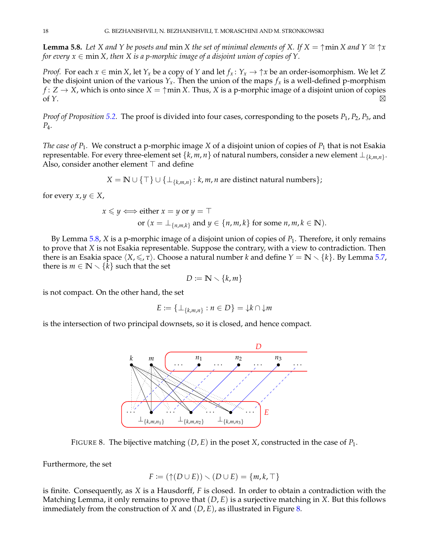<span id="page-17-0"></span>**Lemma 5.8.** Let *X* and *Y* be posets and min *X* the set of minimal elements of *X*. If  $X = \uparrow \min X$  and  $Y \cong \uparrow x$ *for every*  $x \in \min X$ , then X is a p-morphic image of a disjoint union of copies of Y.

*Proof.* For each  $x \in \text{min } X$ , let  $Y_x$  be a copy of  $Y$  and let  $f_x: Y_x \to \uparrow x$  be an order-isomorphism. We let  $Z$ be the disjoint union of the various  $Y_x$ . Then the union of the maps  $f_x$  is a well-defined p-morphism  $f: Z \to X$ , which is onto since  $X = \uparrow \min X$ . Thus, *X* is a p-morphic image of a disjoint union of copies of *Y*. -

*Proof of Proposition [5.2.](#page-14-2)* The proof is divided into four cases, corresponding to the posets *P*1, *P*2, *P*3, and *P*4.

*The case of P*1*.* We construct a p-morphic image *X* of a disjoint union of copies of *P*<sup>1</sup> that is not Esakia representable. For every three-element set  $\{k, m, n\}$  of natural numbers, consider a new element  $\bot_{\{k,m,n\}}$ . Also, consider another element  $\top$  and define

$$
X = \mathbb{N} \cup \{\top\} \cup \{\bot_{\{k,m,n\}} : k, m, n \text{ are distinct natural numbers}\};
$$

for every  $x, y \in X$ ,

$$
x \le y \iff \text{either } x = y \text{ or } y = \top
$$
  
or  $(x = \bot_{\{n,m,k\}} \text{ and } y \in \{n,m,k\} \text{ for some } n,m,k \in \mathbb{N}).$ 

By Lemma [5.8,](#page-17-0) *X* is a p-morphic image of a disjoint union of copies of *P*1. Therefore, it only remains to prove that *X* is not Esakia representable. Suppose the contrary, with a view to contradiction. Then there is an Esakia space  $\langle X, \leq, \tau \rangle$ . Choose a natural number *k* and define  $Y = \mathbb{N} \setminus \{k\}$ . By Lemma [5.7,](#page-16-1) there is  $m \in \mathbb{N} \setminus \{k\}$  such that the set

$$
D:=\mathbb{N}\smallsetminus\{k,m\}
$$

is not compact. On the other hand, the set

$$
E := \{ \perp_{\{k,m,n\}} : n \in D \} = \downarrow k \cap \downarrow m
$$

is the intersection of two principal downsets, so it is closed, and hence compact.



<span id="page-17-1"></span>FIGURE 8. The bijective matching (*D*, *E*) in the poset *X*, constructed in the case of *P*1.

Furthermore, the set

$$
F := (\uparrow(D \cup E)) \smallsetminus (D \cup E) = \{m, k, \top\}
$$

is finite. Consequently, as *X* is a Hausdorff, *F* is closed. In order to obtain a contradiction with the Matching Lemma, it only remains to prove that (*D*, *E*) is a surjective matching in *X*. But this follows immediately from the construction of *X* and (*D*, *E*), as illustrated in Figure [8.](#page-17-1)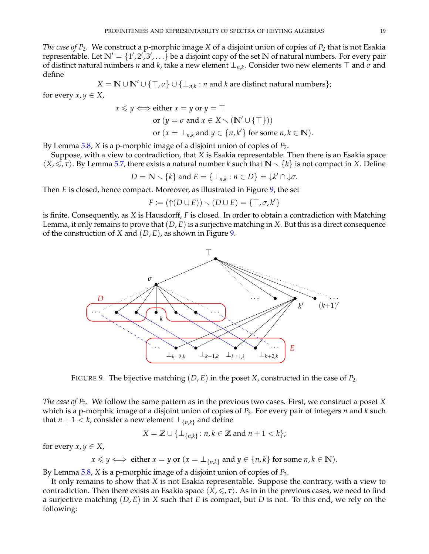*The case of P*2*.* We construct a p-morphic image *X* of a disjoint union of copies of *P*<sup>2</sup> that is not Esakia representable. Let  $\mathbb{N}' = \{1', 2', 3', \ldots\}$  be a disjoint copy of the set  $\mathbb N$  of natural numbers. For every pair of distinct natural numbers *n* and *k*, take a new element  $\perp_{n,k}$ . Consider two new elements  $\top$  and  $\sigma$  and define

$$
X = \mathbb{N} \cup \mathbb{N}' \cup \{\top, \sigma\} \cup \{\bot_{n,k} : n \text{ and } k \text{ are distinct natural numbers}\};
$$

for every  $x, y \in X$ ,

$$
x \le y \iff \text{either } x = y \text{ or } y = \top
$$
  
or  $(y = \sigma \text{ and } x \in X \setminus (\mathbb{N}' \cup \{\top\}))$   
or  $(x = \bot_{n,k} \text{ and } y \in \{n, k'\} \text{ for some } n, k \in \mathbb{N}).$ 

By Lemma [5.8,](#page-17-0) *X* is a p-morphic image of a disjoint union of copies of *P*2.

Suppose, with a view to contradiction, that *X* is Esakia representable. Then there is an Esakia space  $\langle X, \leq, \tau \rangle$ . By Lemma [5.7,](#page-16-1) there exists a natural number *k* such that  $\mathbb{N} \setminus \{k\}$  is not compact in *X*. Define

 $D = \mathbb{N} \setminus \{k\}$  and  $E = \{\perp_{n,k} : n \in D\} = \downarrow k' \cap \downarrow \sigma$ .

Then *E* is closed, hence compact. Moreover, as illustrated in Figure [9,](#page-18-0) the set

$$
F := (\uparrow(D \cup E)) \smallsetminus (D \cup E) = \{\top, \sigma, k'\}
$$

is finite. Consequently, as *X* is Hausdorff, *F* is closed. In order to obtain a contradiction with Matching Lemma, it only remains to prove that (*D*, *E*) is a surjective matching in *X*. But this is a direct consequence of the construction of *X* and (*D*, *E*), as shown in Figure [9.](#page-18-0)



<span id="page-18-0"></span>FIGURE 9. The bijective matching (*D*, *E*) in the poset *X*, constructed in the case of *P*2.

*The case of P*3*.* We follow the same pattern as in the previous two cases. First, we construct a poset *X* which is a p-morphic image of a disjoint union of copies of *P*3. For every pair of integers *n* and *k* such that *n* + 1 < *k*, consider a new element  $\perp_{\{n,k\}}$  and define

$$
X = \mathbb{Z} \cup \{\perp_{\{n,k\}} : n, k \in \mathbb{Z} \text{ and } n+1 < k\};
$$

for every  $x, y \in X$ ,

$$
x \leq y \iff
$$
 either  $x = y$  or  $(x = \perp_{\{n,k\}} \text{ and } y \in \{n,k\} \text{ for some } n,k \in \mathbb{N}).$ 

By Lemma [5.8,](#page-17-0) *X* is a p-morphic image of a disjoint union of copies of *P*3.

It only remains to show that *X* is not Esakia representable. Suppose the contrary, with a view to contradiction. Then there exists an Esakia space  $\langle X, \leq, \tau \rangle$ . As in in the previous cases, we need to find a surjective matching (*D*, *E*) in *X* such that *E* is compact, but *D* is not. To this end, we rely on the following: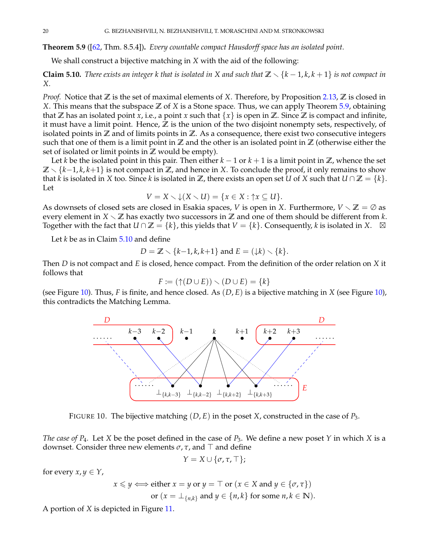<span id="page-19-0"></span>**Theorem 5.9** ([\[62,](#page-31-9) Thm. 8.5.4])**.** *Every countable compact Hausdorff space has an isolated point.*

We shall construct a bijective matching in *X* with the aid of the following:

<span id="page-19-1"></span>**Claim 5.10.** *There exists an integer k that is isolated in X and such that*  $\mathbb{Z} \setminus \{k-1,k,k+1\}$  *is not compact in X.*

*Proof.* Notice that **Z** is the set of maximal elements of *X*. Therefore, by Proposition [2.13,](#page-6-4) **Z** is closed in *X*. This means that the subspace **Z** of *X* is a Stone space. Thus, we can apply Theorem [5.9,](#page-19-0) obtaining that  $\mathbb{Z}$  has an isolated point *x*, i.e., a point *x* such that  $\{x\}$  is open in  $\mathbb{Z}$ . Since  $\mathbb{Z}$  is compact and infinite, it must have a limit point. Hence, **Z** is the union of the two disjoint nonempty sets, respectively, of isolated points in **Z** and of limits points in **Z**. As a consequence, there exist two consecutive integers such that one of them is a limit point in  $\mathbb{Z}$  and the other is an isolated point in  $\mathbb{Z}$  (otherwise either the set of isolated or limit points in **Z** would be empty).

Let *k* be the isolated point in this pair. Then either  $k - 1$  or  $k + 1$  is a limit point in  $\mathbb{Z}$ , whence the set  $\mathbb{Z} \setminus \{k-1, k, k+1\}$  is not compact in  $\mathbb{Z}$ , and hence in *X*. To conclude the proof, it only remains to show that *k* is isolated in *X* too. Since *k* is isolated in **Z**, there exists an open set *U* of *X* such that  $U \cap \mathbb{Z} = \{k\}$ . Let

$$
V = X \setminus \downarrow (X \setminus U) = \{x \in X : \uparrow x \subseteq U\}.
$$

As downsets of closed sets are closed in Esakia spaces, *V* is open in *X*. Furthermore,  $V \setminus \mathbb{Z} = \emptyset$  as every element in  $X \setminus \mathbb{Z}$  has exactly two successors in  $\mathbb{Z}$  and one of them should be different from *k*. Together with the fact that  $U \cap \mathbb{Z} = \{k\}$ , this yields that  $V = \{k\}$ . Consequently,  $k$  is isolated in X.  $\Box$ 

Let *k* be as in Claim [5.10](#page-19-1) and define

$$
D = \mathbb{Z} \setminus \{k-1, k, k+1\} \text{ and } E = (\downarrow k) \setminus \{k\}.
$$

Then *D* is not compact and *E* is closed, hence compact. From the definition of the order relation on *X* it follows that

$$
F := (\uparrow (D \cup E)) \smallsetminus (D \cup E) = \{k\}
$$

(see Figure [10\)](#page-19-2). Thus, *F* is finite, and hence closed. As (*D*, *E*) is a bijective matching in *X* (see Figure [10\)](#page-19-2), this contradicts the Matching Lemma.



<span id="page-19-2"></span>FIGURE 10. The bijective matching (*D*, *E*) in the poset *X*, constructed in the case of *P*3.

*The case of P*4*.* Let *X* be the poset defined in the case of *P*3. We define a new poset *Y* in which *X* is a downset. Consider three new elements  $\sigma$ ,  $\tau$ , and  $\top$  and define

$$
Y=X\cup \{\sigma,\tau,\top\};
$$

for every  $x, y \in Y$ ,

$$
x \leq y \iff \text{either } x = y \text{ or } y = \top \text{ or } (x \in X \text{ and } y \in \{\sigma, \tau\})
$$
  
or 
$$
(x = \bot_{\{n,k\}} \text{ and } y \in \{n, k\} \text{ for some } n, k \in \mathbb{N}).
$$

A portion of *X* is depicted in Figure [11.](#page-20-2)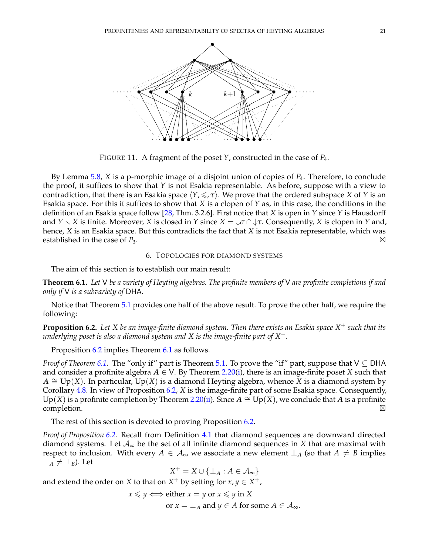

<span id="page-20-2"></span>FIGURE 11. A fragment of the poset *Y*, constructed in the case of *P*4.

By Lemma [5.8,](#page-17-0) *X* is a p-morphic image of a disjoint union of copies of *P*4. Therefore, to conclude the proof, it suffices to show that *Y* is not Esakia representable. As before, suppose with a view to contradiction, that there is an Esakia space  $\langle Y, \leq, \tau \rangle$ . We prove that the ordered subspace *X* of *Y* is an Esakia space. For this it suffices to show that *X* is a clopen of *Y* as, in this case, the conditions in the definition of an Esakia space follow [\[28,](#page-30-9) Thm. 3.2.6]. First notice that *X* is open in *Y* since *Y* is Hausdorff and *Y*  $\smallsetminus$  *X* is finite. Moreover, *X* is closed in *Y* since *X* =  $\downarrow \sigma \cap \downarrow \tau$ . Consequently, *X* is clopen in *Y* and, hence, *X* is an Esakia space. But this contradicts the fact that *X* is not Esakia representable, which was established in the case of  $P_3$ .

#### 6. TOPOLOGIES FOR DIAMOND SYSTEMS

<span id="page-20-0"></span>The aim of this section is to establish our main result:

<span id="page-20-1"></span>**Theorem 6.1.** *Let* V *be a variety of Heyting algebras. The profinite members of* V *are profinite completions if and only if* V *is a subvariety of* DHA*.*

Notice that Theorem [5.1](#page-14-1) provides one half of the above result. To prove the other half, we require the following:

<span id="page-20-3"></span>**Proposition 6.2.** *Let X be an image-finite diamond system. Then there exists an Esakia space X* <sup>+</sup> *such that its underlying poset is also a diamond system and X is the image-finite part of X*+*.*

Proposition [6.2](#page-20-3) implies Theorem [6.1](#page-20-1) as follows.

*Proof of Theorem [6.1.](#page-20-1)* The "only if" part is Theorem [5.1.](#page-14-1) To prove the "if" part, suppose that V ⊆ DHA and consider a profinite algebra  $A \in V$ . By Theorem [2.20\(](#page-8-2)[i\)](#page-8-3), there is an image-finite poset *X* such that *A*  $\cong$  Up(*X*). In particular, Up(*X*) is a diamond Heyting algebra, whence *X* is a diamond system by Corollary [4.8.](#page-14-4) In view of Proposition [6.2,](#page-20-3) *X* is the image-finite part of some Esakia space. Consequently, Up(*X*) is a profinite completion by Theorem [2.20\(](#page-8-2)[ii\)](#page-8-4). Since  $A \cong Up(X)$ , we conclude that *A* is a profinite  $\Box$ completion.  $\Box$ 

The rest of this section is devoted to proving Proposition [6.2.](#page-20-3)

*Proof of Proposition [6.2.](#page-20-3)* Recall from Definition [4.1](#page-10-8) that diamond sequences are downward directed diamond systems. Let  $\mathcal{A}_{\infty}$  be the set of all infinite diamond sequences in X that are maximal with respect to inclusion. With every  $A \in \mathcal{A}_{\infty}$  we associate a new element  $\perp_A$  (so that  $A \neq B$  implies  $\perp$ <sub>*A*</sub>  $\neq$   $\perp$ <sub>*B*</sub>). Let

 $X^+ = X \cup \{\perp_A : A \in \mathcal{A}_\infty\}$ 

and extend the order on *X* to that on  $X^+$  by setting for  $x, y \in X^+$ ,

 $x \leq y \iff \text{either } x = y \text{ or } x \leq y \text{ in } X$ 

or  $x = \perp_A$  and  $y \in A$  for some  $A \in \mathcal{A}_{\infty}$ .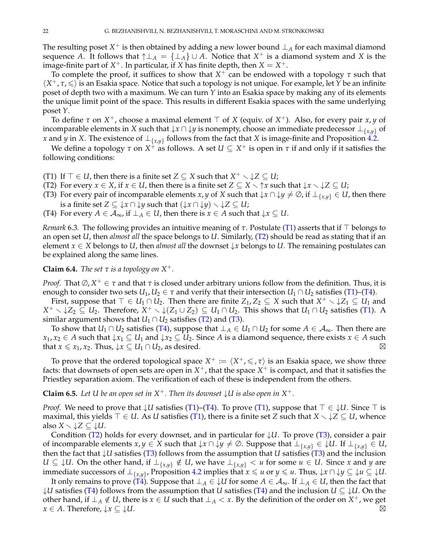The resulting poset  $X^+$  is then obtained by adding a new lower bound  $\perp_A$  for each maximal diamond sequence *A*. It follows that  $\uparrow \perp_A = {\perp_A} \cup A$ . Notice that  $X^+$  is a diamond system and *X* is the image-finite part of  $X^+$ . In particular, if *X* has finite depth, then  $X = X^+$ .

To complete the proof, it suffices to show that *X* <sup>+</sup> can be endowed with a topology *τ* such that  $\langle X^+, \tau, \leq \rangle$  is an Esakia space. Notice that such a topology is not unique. For example, let *Y* be an infinite poset of depth two with a maximum. We can turn *Y* into an Esakia space by making any of its elements the unique limit point of the space. This results in different Esakia spaces with the same underlying poset *Y*.

To define  $\tau$  on  $X^+$ , choose a maximal element  $\top$  of  $X$  (equiv. of  $X^+$ ). Also, for every pair  $x, y$  of incomparable elements in *X* such that  $\downarrow x \cap \downarrow y$  is nonempty, choose an immediate predecessor  $\perp_{\{x,y\}}$  of *x* and *y* in *X*. The existence of  $\perp_{\{x,y\}}$  follows from the fact that *X* is image-finite and Proposition [4.2.](#page-10-7)

We define a topology  $τ$  on  $X^{\frac{1}{\tau}}$  as follows. A set  $U \subseteq X^+$  is open in  $τ$  if and only if it satisfies the following conditions:

<span id="page-21-0"></span>(T1) If  $\top \in U$ , then there is a finite set  $Z \subseteq X$  such that  $X^+ \setminus \downarrow Z \subseteq U$ ;

- <span id="page-21-1"></span>(T2) For every  $x \in X$ , if  $x \in U$ , then there is a finite set  $Z \subseteq X \setminus \mathcal{x}$  such that  $\downarrow x \setminus \mathcal{Z} \subseteq U$ ;
- <span id="page-21-3"></span>(T3) For every pair of incomparable elements *x*, *y* of *X* such that  $\downarrow x \cap \downarrow y \neq \emptyset$ , if  $\perp_{\{x,y\}} \in U$ , then there is a finite set  $Z \subseteq \downarrow x \cap \downarrow y$  such that  $(\downarrow x \cap \downarrow y) \setminus \downarrow Z \subseteq U$ ;
- <span id="page-21-2"></span>(T4) For every  $A \in \mathcal{A}_{\infty}$ , if  $\perp_A \in U$ , then there is  $x \in A$  such that  $\downarrow x \subseteq U$ .

*Remark* 6.3. The following provides an intuitive meaning of  $\tau$ . Postulate [\(T1\)](#page-21-0) asserts that if  $\top$  belongs to an open set *U*, then *almost all* the space belongs to *U*. Similarly, [\(T2\)](#page-21-1) should be read as stating that if an element  $x \in X$  belongs to *U*, then *almost all* the downset  $\downarrow x$  belongs to *U*. The remaining postulates can be explained along the same lines.

**Claim 6.4.** *The set*  $\tau$  *is a topology on*  $X^+$ *.* 

*Proof.* That  $\emptyset$ ,  $X^+ \in \tau$  and that  $\tau$  is closed under arbitrary unions follow from the definition. Thus, it is enough to consider two sets  $U_1, U_2 \in \tau$  and verify that their intersection  $U_1 \cap U_2$  satisfies [\(T1\)](#page-21-0)–[\(T4\)](#page-21-2).

First, suppose that  $\top \in U_1 \cap U_2$ . Then there are finite  $Z_1, Z_2 \subseteq X$  such that  $X^+ \setminus \downarrow Z_1 \subseteq U_1$  and  $X^+ \setminus \downarrow Z_2 \subseteq U_2$ . Therefore,  $X^+ \setminus \downarrow (Z_1 \cup Z_2) \subseteq U_1 \cap U_2$ . This shows that  $U_1 \cap U_2$  satisfies [\(T1\)](#page-21-0). A similar argument shows that  $U_1 \cap U_2$  satisfies [\(T2\)](#page-21-1) and [\(T3\)](#page-21-3).

To show that  $U_1 \cap U_2$  satisfies [\(T4\)](#page-21-2), suppose that  $\perp_A \in U_1 \cap U_2$  for some  $A \in \mathcal{A}_{\infty}$ . Then there are *x*<sub>1</sub>, *x*<sub>2</sub> ∈ *A* such that  $\downarrow$ *x*<sub>1</sub> ⊆ *U*<sub>1</sub> and  $\downarrow$ *x*<sub>2</sub> ⊆ *U*<sub>2</sub>. Since *A* is a diamond sequence, there exists *x* ∈ *A* such that *x*  $\le x_1, x_2$ . Thus,  $\downarrow x \subseteq U_1 \cap U_2$ , as desired.

To prove that the ordered topological space  $X^+ := \langle X^+, \leqslant, \tau \rangle$  is an Esakia space, we show three facts: that downsets of open sets are open in  $X^+$ , that the space  $X^+$  is compact, and that it satisfies the Priestley separation axiom. The verification of each of these is independent from the others.

<span id="page-21-4"></span>**Claim 6.5.** Let U be an open set in  $X^+$ . Then its downset  $\downarrow U$  is also open in  $X^+$ .

*Proof.* We need to prove that  $\downarrow U$  satisfies [\(T1\)](#page-21-0)–[\(T4\)](#page-21-2). To prove (T1), suppose that  $\top \in \downarrow U$ . Since  $\top$  is maximal, this yields  $\top \in U$ . As *U* satisfies [\(T1\)](#page-21-0), there is a finite set *Z* such that  $X \setminus \downarrow Z \subseteq U$ , whence also  $X \setminus \downarrow Z \subseteq \downarrow U$ .

Condition [\(T2\)](#page-21-1) holds for every downset, and in particular for ↓*U*. To prove [\(T3\)](#page-21-3), consider a pair of incomparable elements  $x, y \in X$  such that  $\downarrow x \cap \downarrow y \neq \emptyset$ . Suppose that  $\perp_{\{x,y\}} \in \downarrow U$ . If  $\perp_{\{x,y\}} \in U$ , then the fact that  $\downarrow U$  satisfies [\(T3\)](#page-21-3) follows from the assumption that *U* satisfies (T3) and the inclusion *U* ⊆ ↓*U*. On the other hand, if  $\perp$ <sub>{*x*,*y*}</sub> ∉ *U*, we have  $\perp$ <sub>{*x*,*y*}</sub> < *u* for some *u* ∈ *U*. Since *x* and *y* are  $\lim_{x \to a}$  immediate successors of  $\perp_{\{x,y\}}$ , Proposition [4.2](#page-10-7) implies that  $x \leq u$  or  $y \leq u$ . Thus,  $\downarrow x \cap \downarrow y \subseteq \downarrow u \subseteq \downarrow U$ .

It only remains to prove [\(T4\)](#page-21-2). Suppose that  $\perp_A \in \downarrow U$  for some  $A \in \mathcal{A}_{\infty}$ . If  $\perp_A \in U$ , then the fact that ↓*U* satisfies [\(T4\)](#page-21-2) follows from the assumption that *U* satisfies [\(T4\)](#page-21-2) and the inclusion *U* ⊆ ↓*U*. On the other hand, if  $\perp_A \notin U$ , there is  $x \in U$  such that  $\perp_A < x$ . By the definition of the order on  $X^+$ , we get  $x \in A$ . Therefore,  $\downarrow x \subseteq \downarrow U$ .  $\boxtimes$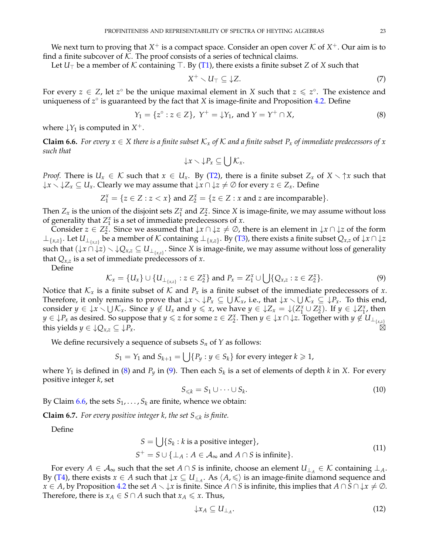We next turn to proving that  $X^+$  is a compact space. Consider an open cover  ${\mathcal K}$  of  $X^+$ . Our aim is to find a finite subcover of  $K$ . The proof consists of a series of technical claims.

Let  $U_{\top}$  be a member of K containing  $\top$ . By [\(T1\)](#page-21-0), there exists a finite subset *Z* of *X* such that

<span id="page-22-5"></span>
$$
X^+ \setminus U_\top \subseteq \downarrow Z. \tag{7}
$$

For every  $z \in Z$ , let  $z^{\circ}$  be the unique maximal element in *X* such that  $z \leq z^{\circ}$ . The existence and uniqueness of z<sup>o</sup> is guaranteed by the fact that *X* is image-finite and Proposition [4.2.](#page-10-7) Define

<span id="page-22-0"></span>
$$
Y_1 = \{z^\circ : z \in Z\}, Y^+ = \downarrow Y_1, \text{ and } Y = Y^+ \cap X,
$$
 (8)

where  $\downarrow$ *Y*<sub>1</sub> is computed in *X*<sup>+</sup>.

<span id="page-22-2"></span>**Claim 6.6.** For every  $x \in X$  there is a finite subset  $\mathcal{K}_x$  of  $\mathcal{K}$  and a finite subset  $P_x$  of immediate predecessors of  $x$ *such that*

$$
\downarrow x \smallsetminus \downarrow P_x \subseteq \bigcup \mathcal{K}_x.
$$

*Proof.* There is  $U_x \in \mathcal{K}$  such that  $x \in U_x$ . By [\(T2\)](#page-21-1), there is a finite subset  $Z_x$  of  $X \setminus \mathcal{T}$ *x* such that  $\downarrow$ *x*  $\setminus \downarrow$ *Z*<sub>*x*</sub>  $\subseteq$  *U*<sub>*x*</sub>. Clearly we may assume that  $\downarrow$ *x*  $\cap$   $\downarrow$ *z*  $\neq$   $\emptyset$  for every *z*  $\in$  *Z*<sub>*x*</sub>. Define

$$
Z_1^x = \{ z \in Z : z < x \}
$$
 and 
$$
Z_2^x = \{ z \in Z : x \text{ and } z \text{ are incomparable} \}.
$$

Then  $Z_x$  is the union of the disjoint sets  $Z_1^x$  and  $Z_2^x$ . Since X is image-finite, we may assume without loss of generality that  $Z_1^x$  is a set of immediate predecessors of *x*.

Consider  $z \in Z_2^x$ . Since we assumed that  $\downarrow x \cap \downarrow z \neq \emptyset$ , there is an element in  $\downarrow x \cap \downarrow z$  of the form ⊥{*x*,*z*} . Let *U*⊥{*x*,*z*} be a member of K containing ⊥{*x*,*z*} . By [\(T3\)](#page-21-3), there exists a finite subset *Qx*,*<sup>z</sup>* of ↓*x* ∩ ↓*z* such that  $(\downarrow x \cap \downarrow z) \setminus \downarrow Q_{x,z} \subseteq U_{\perp_{\{x,z\}}}$ . Since *X* is image-finite, we may assume without loss of generality that  $Q_{x,z}$  is a set of immediate predecessors of *x*.

Define

<span id="page-22-1"></span>
$$
\mathcal{K}_x = \{U_x\} \cup \{U_{\perp_{\{x,z\}}} : z \in Z_2^x\} \text{ and } P_x = Z_1^x \cup \bigcup \{Q_{x,z} : z \in Z_2^x\}. \tag{9}
$$

Notice that  $K_x$  is a finite subset of K and  $P_x$  is a finite subset of the immediate predecessors of x. Therefore, it only remains to prove that  $\downarrow x \setminus \downarrow P_x \subseteq \bigcup \mathcal{K}_x$ , i.e., that  $\downarrow x \setminus \bigcup \mathcal{K}_x \subseteq \dot{\downarrow} P_x$ . To this end, consider  $y \in \{x \setminus \bigcup \mathcal{K}_x\}$ . Since  $y \notin U_x$  and  $y \leq x$ , we have  $y \in \{Z_x = \bigcup (Z_1^x \cup Z_2^x)\}$ . If  $y \in \bigcup Z_1^x$ , then  $y \in \mathcal{F}_x$  as desired. So suppose that  $y \leq z$  for some  $z \in Z_2^x$ . Then  $y \in \mathcal{F}_x \cap \mathcal{F}_z$ . Together with  $y \notin U_{\perp_{\{x,z\}}}$ this yields  $y \in \downarrow Q_{x,z} \subseteq \downarrow P_x$ .

We define recursively a sequence of subsets  $S_n$  of  $Y$  as follows:

$$
S_1 = Y_1
$$
 and  $S_{k+1} = \bigcup \{ P_y : y \in S_k \}$  for every integer  $k \ge 1$ ,

where *Y*<sup>1</sup> is defined in [\(8\)](#page-22-0) and *P<sup>y</sup>* in [\(9\)](#page-22-1). Then each *S<sup>k</sup>* is a set of elements of depth *k* in *X*. For every positive integer *k*, set

$$
S_{\leqslant k} = S_1 \cup \dots \cup S_k. \tag{10}
$$

By Claim  $6.6$ , the sets  $S_1, \ldots, S_k$  are finite, whence we obtain:

<span id="page-22-3"></span>**Claim 6.7.** For every positive integer k, the set  $S_{\leq k}$  is finite.

Define

$$
S = \bigcup \{ S_k : k \text{ is a positive integer} \},
$$
  

$$
S^+ = S \cup \{ \bot_A : A \in \mathcal{A}_{\infty} \text{ and } A \cap S \text{ is infinite} \}.
$$
 (11)

For every *A* ∈  $\mathcal{A}_{\infty}$  such that the set *A* ∩ *S* is infinite, choose an element  $U_{\perp_A} \in \mathcal{K}$  containing  $\perp_A$ . By [\(T4\)](#page-21-2), there exists  $x \in A$  such that  $\downarrow x \subseteq U_{\perp_A}$ . As  $\langle A, \leq \rangle$  is an image-finite diamond sequence and *x* ∈ *A*, by Proposition [4.2](#page-10-7) the set *A*  $\setminus \downarrow x$  is finite. Since *A* ∩ *S* is infinite, this implies that *A* ∩ *S* ∩  $\downarrow x \neq \emptyset$ . Therefore, there is  $x_A \in S \cap A$  such that  $x_A \leq x$ . Thus,

<span id="page-22-4"></span>
$$
\downarrow x_A \subseteq U_{\perp_A}.\tag{12}
$$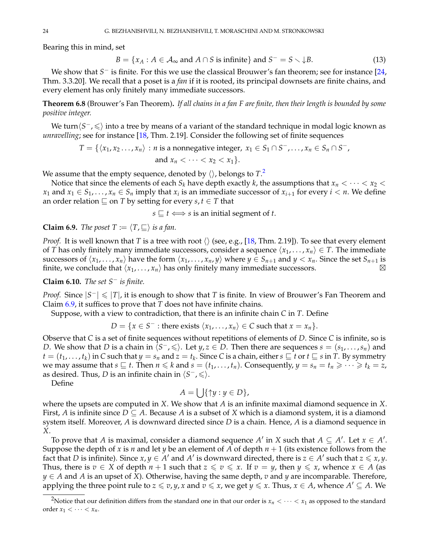Bearing this in mind, set

<span id="page-23-2"></span>
$$
B = \{x_A : A \in \mathcal{A}_{\infty} \text{ and } A \cap S \text{ is infinite}\} \text{ and } S^- = S \setminus \downarrow B. \tag{13}
$$

We show that *S* <sup>−</sup> is finite. For this we use the classical Brouwer's fan theorem; see for instance [\[24,](#page-30-11) Thm. 3.3.20]. We recall that a poset is a *fan* if it is rooted, its principal downsets are finite chains, and every element has only finitely many immediate successors.

**Theorem 6.8** (Brouwer's Fan Theorem)**.** *If all chains in a fan F are finite, then their length is bounded by some positive integer.*

We turn $\langle S^-, \leqslant \rangle$  into a tree by means of a variant of the standard technique in modal logic known as *unravelling*; see for instance [\[18,](#page-30-12) Thm. 2.19]. Consider the following set of finite sequences

$$
T = \{ \langle x_1, x_2, \ldots, x_n \rangle : n \text{ is a nonnegative integer, } x_1 \in S_1 \cap S^-, \ldots, x_n \in S_n \cap S^-, \text{ and } x_n < \cdots < x_2 < x_1 \}.
$$

We assume that the empty sequence, denoted by  $\langle \rangle$ , belongs to  $T.^2$  $T.^2$ 

Notice that since the elements of each  $S_k$  have depth exactly *k*, the assumptions that  $x_n < \cdots < x_2 <$ *x*<sub>1</sub> and *x*<sub>1</sub>  $\in$  *S*<sub>1</sub>, . . . , *x*<sub>*n*</sub>  $\in$  *S*<sub>*n*</sub> imply that *x*<sub>*i*</sub> is an immediate successor of *x*<sub>*i*+1</sub> for every *i* < *n*. We define an order relation  $\sqsubseteq$  on *T* by setting for every *s*, *t*  $\in$  *T* that

 $s \rvert t \Leftrightarrow s$  is an initial segment of *t*.

<span id="page-23-1"></span>**Claim 6.9.** *The poset*  $T := \langle T, \sqsubseteq \rangle$  *is a fan.* 

*Proof.* It is well known that *T* is a tree with root  $\langle \rangle$  (see, e.g., [\[18,](#page-30-12) Thm. 2.19]). To see that every element of *T* has only finitely many immediate successors, consider a sequence  $\langle x_1, \ldots, x_n \rangle \in T$ . The immediate successors of  $\langle x_1, \ldots, x_n \rangle$  have the form  $\langle x_1, \ldots, x_n, y \rangle$  where  $y \in S_{n+1}$  and  $y < x_n$ . Since the set  $S_{n+1}$  is finite, we conclude that  $\langle x_1, \ldots, x_n \rangle$  has only finitely many immediate successors.

<span id="page-23-3"></span>**Claim 6.10.** *The set S*<sup>−</sup> *is finite.*

*Proof.* Since  $|S^-| \leq |T|$ , it is enough to show that *T* is finite. In view of Brouwer's Fan Theorem and Claim [6.9,](#page-23-1) it suffices to prove that *T* does not have infinite chains.

Suppose, with a view to contradiction, that there is an infinite chain *C* in *T*. Define

$$
D = \{x \in S^- : \text{there exists } \langle x_1, \ldots, x_n \rangle \in C \text{ such that } x = x_n \}.
$$

Observe that *C* is a set of finite sequences without repetitions of elements of *D*. Since *C* is infinite, so is *D*. We show that *D* is a chain in  $\langle S^-,\leqslant \rangle$ . Let *y*, *z* ∈ *D*. Then there are sequences *s* = (*s*<sub>1</sub>, . . . , *s*<sub>*n*</sub>)</sub> and  $t=(t_1,\ldots,t_k)$  in C such that  $y=s_n$  and  $z=t_k.$  Since C is a chain, either  $s\sqsubseteq t$  or  $t\sqsubseteq s$  in T. By symmetry we may assume that  $s \subseteq t$ . Then  $n \leq k$  and  $s = (t_1, \ldots, t_n)$ . Consequently,  $y = s_n = t_n \geq \cdots \geq t_k = z$ , as desired. Thus, *D* is an infinite chain in  $\langle S^-, \leqslant \rangle$ .

Define

$$
A = \bigcup \{ \uparrow y : y \in D \},
$$

where the upsets are computed in *X*. We show that *A* is an infinite maximal diamond sequence in *X*. First, *A* is infinite since  $D \subseteq A$ . Because *A* is a subset of *X* which is a diamond system, it is a diamond system itself. Moreover, *A* is downward directed since *D* is a chain. Hence, *A* is a diamond sequence in *X*.

To prove that *A* is maximal, consider a diamond sequence *A'* in *X* such that  $A \subseteq A'$ . Let  $x \in A'$ . Suppose the depth of *x* is *n* and let *y* be an element of *A* of depth  $n + 1$  (its existence follows from the fact that *D* is infinite). Since  $x, y \in A'$  and  $A'$  is downward directed, there is  $z \in A'$  such that  $z \leq x, y$ . Thus, there is  $v \in X$  of depth  $n + 1$  such that  $z \le v \le x$ . If  $v = y$ , then  $y \le x$ , whence  $x \in A$  (as *y* ∈ *A* and *A* is an upset of *X*). Otherwise, having the same depth, *v* and *y* are incomparable. Therefore, applying the three point rule to  $z \le v, y, x$  and  $v \le x$ , we get  $y \le x$ . Thus,  $x \in A$ , whence  $A' \subseteq A$ . We

<span id="page-23-0"></span><sup>&</sup>lt;sup>2</sup>Notice that our definition differs from the standard one in that our order is  $x_n < \cdots < x_1$  as opposed to the standard order  $x_1 < \cdots < x_n$ .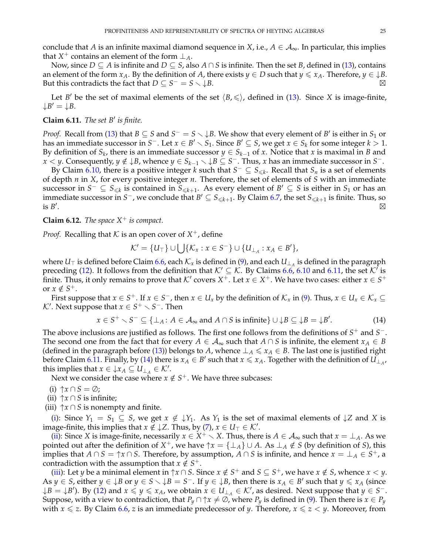conclude that *A* is an infinite maximal diamond sequence in *X*, i.e.,  $A \in \mathcal{A}_{\infty}$ . In particular, this implies that  $X^+$  contains an element of the form  $\perp_A$ .

Now, since *D* ⊆ *A* is infinite and *D* ⊆ *S*, also *A* ∩ *S* is infinite. Then the set *B*, defined in [\(13\)](#page-23-2), contains an element of the form  $x_A$ . By the definition of *A*, there exists  $y \in D$  such that  $y \le x_A$ . Therefore,  $y \in \downarrow B$ . But this contradicts the fact that  $D \subseteq S^- = S \setminus \downarrow B$ .

Let *B'* be the set of maximal elements of the set  $\langle B, \leq \rangle$ , defined in [\(13\)](#page-23-2). Since *X* is image-finite,  $\downarrow$ *B'* =  $\downarrow$ *B*.

# <span id="page-24-0"></span>**Claim 6.11.** *The set B' is finite.*

*Proof.* Recall from [\(13\)](#page-23-2) that  $B \subseteq S$  and  $S^- = S \setminus \downarrow B$ . We show that every element of  $B'$  is either in  $S_1$  or has an immediate successor in  $S^-$ . Let  $x \in B' \setminus S_1$ . Since  $B' \subseteq S$ , we get  $x \in S_k$  for some integer  $k > 1$ . By definition of  $S_k$ , there is an immediate successor  $y \in S_{k-1}$  of *x*. Notice that *x* is maximal in *B* and *x* < *y*. Consequently, *y* ∉ ↓*B*, whence  $y \in S_{k-1} \setminus \downarrow B$  ⊆ *S*<sup>−</sup>. Thus, *x* has an immediate successor in *S*<sup>−</sup>.

By Claim [6.10,](#page-23-3) there is a positive integer *k* such that  $S^- \subseteq S_{\leq k}$ . Recall that  $S_n$  is a set of elements of depth *n* in *X*, for every positive integer *n*. Therefore, the set of elements of *S* with an immediate successor in  $S^- \subseteq S_{\leq k}$  is contained in  $S_{\leq k+1}$ . As every element of  $B' \subseteq S$  is either in  $S_1$  or has an immediate successor in *S*<sup>−</sup>, we conclude that  $B' \subseteq S_{\leq k+1}$ . By Claim [6.7,](#page-22-3) the set  $S_{\leq k+1}$  is finite. Thus, so is  $B'$ . - $\boxtimes$ 

<span id="page-24-5"></span>**Claim 6.12.** *The space X*<sup>+</sup> *is compact.*

*Proof.* Recalling that  $K$  is an open cover of  $X^+$ , define

$$
\mathcal{K}' = \{U_\top\} \cup \bigcup \{\mathcal{K}_x : x \in S^-\} \cup \{U_{\perp_A} : x_A \in B'\},\
$$

where  $U_\top$  is defined before Claim [6.6,](#page-22-2) each  $\mathcal{K}_x$  is defined in [\(9\)](#page-22-1), and each  $U_{\perp_A}$  is defined in the paragraph preceding [\(12\)](#page-22-4). It follows from the definition that  $K' \subseteq K$ . By Claims [6.6,](#page-22-2) [6.10](#page-23-3) and [6.11,](#page-24-0) the set  $K'$  is finite. Thus, it only remains to prove that  $\mathcal{K}'$  covers  $X^+$ . Let  $x\in X^+$ . We have two cases: either  $x\in S^+$ or  $x \notin S^+$ .

First suppose that  $x \in S^+$ . If  $x \in S^-$ , then  $x \in U_x$  by the definition of  $\mathcal{K}_x$  in [\(9\)](#page-22-1). Thus,  $x \in U_x \in \mathcal{K}_x \subseteq$ *K*'. Next suppose that *x* ∈ *S*<sup>+</sup>  $\setminus$  *S*<sup>−</sup>. Then

<span id="page-24-1"></span>
$$
x \in S^+ \setminus S^- \subseteq \{\perp_A \colon A \in \mathcal{A}_{\infty} \text{ and } A \cap S \text{ is infinite}\} \cup \downarrow B \subseteq \downarrow B = \downarrow B'.
$$
 (14)

The above inclusions are justified as follows. The first one follows from the definitions of  $S^+$  and  $S^-$ . The second one from the fact that for every  $A \in \mathcal{A}_{\infty}$  such that  $A \cap S$  is infinite, the element  $x_A \in B$ (defined in the paragraph before [\(13\)](#page-23-2)) belongs to *A*, whence  $\perp_A \leq x_A \in B$ . The last one is justified right before Claim [6.11.](#page-24-0) Finally, by [\(14\)](#page-24-1) there is  $x_A \in B'$  such that  $x \le x_A$ . Together with the definition of  $U_{\perp_A}$ , this implies that  $x \in \downarrow x_A \subseteq U_{\perp_A} \in \mathcal{K}'$ .

Next we consider the case where  $x \notin S^+$ . We have three subcases:

- <span id="page-24-2"></span>(i)  $\uparrow x \cap S = \emptyset$ ;
- <span id="page-24-3"></span>(ii)  $\uparrow x \cap S$  is infinite;
- <span id="page-24-4"></span>(iii)  $\uparrow x \cap S$  is nonempty and finite.

[\(i\)](#page-24-2): Since  $Y_1 = S_1 \subseteq S$ , we get  $x \notin \mathcal{Y}_1$ . As  $Y_1$  is the set of maximal elements of  $\mathcal{Y}_2$  and X is image-finite, this implies that  $x \notin \downarrow \mathbb{Z}$ . Thus, by [\(7\)](#page-22-5),  $x \in U_\top \in \mathcal{K}'$ .

[\(ii\)](#page-24-3): Since *X* is image-finite, necessarily  $x \in X^+ \setminus X$ . Thus, there is  $A \in A_\infty$  such that  $x = \perp_A$ . As we pointed out after the definition of  $X^+$ , we have  $\uparrow x = \{\perp_A\} \cup A$ . As  $\perp_A \notin S$  (by definition of *S*), this implies that  $A \cap S = \uparrow x \cap S$ . Therefore, by assumption,  $A \cap S$  is infinite, and hence  $x = \bot_A \in S^+$ , a contradiction with the assumption that  $x \notin S^+$ .

[\(iii\)](#page-24-4): Let *y* be a minimal element in  $\uparrow x \cap S$ . Since  $x \notin S^+$  and  $S \subseteq S^+$ , we have  $x \notin S$ , whence  $x < y$ . As  $y \in S$ , either  $y \in \mathcal{Y}B$  or  $y \in S \setminus \mathcal{Y}B = S^-$ . If  $y \in \mathcal{Y}B$ , then there is  $x_A \in B'$  such that  $y \le x_A$  (since  $\downarrow$ *B* =  $\downarrow$ *B*'). By [\(12\)](#page-22-4) and  $x \le y \le x_A$ , we obtain  $x \in U_{\perp_A} \in \mathcal{K}'$ , as desired. Next suppose that  $y \in S^-$ . Suppose, with a view to contradiction, that  $P_y \cap \uparrow x \neq \emptyset$ , where  $P_y$  is defined in [\(9\)](#page-22-1). Then there is  $x \in P_y$ with  $x \le z$ . By Claim [6.6,](#page-22-2) *z* is an immediate predecessor of *y*. Therefore,  $x \le z \le y$ . Moreover, from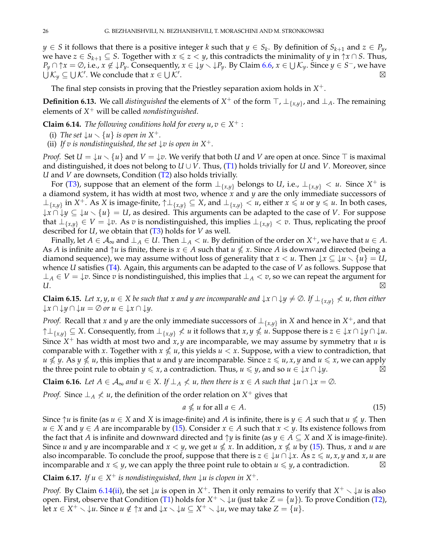*y* ∈ *S* it follows that there is a positive integer *k* such that *y* ∈ *S*<sub>*k*</sub>. By definition of *S*<sub>*k*+1</sub> and *z* ∈ *P*<sub>*y*</sub>, we have *z*  $\in$  *S*<sub>*k*+1</sub>  $\subseteq$  *S*. Together with *x*  $\le$  *z*  $\lt$  *y*, this contradicts the minimality of *y* in  $\uparrow$ *x*  $\cap$  *S*. Thus, *P*<sub>*y*</sub> ∩ ↑*x* = ∅, i.e., *x* ∉ ↓*P*<sub>*y*</sub>. Consequently, *x* ∈ ↓*y*  $\setminus$  ↓*P*<sub>*y*</sub>. By Claim [6.6,](#page-22-2) *x* ∈ ∪  $K_y$ . Since *y* ∈ *S*<sup>−</sup>, we have  $\dot{\cup}$   $\mathcal{K}_y \subseteq \cup \mathcal{K}'$ . We conclude that  $x \in \cup \mathcal{K}'$ .  $\boxtimes$ 

The final step consists in proving that the Priestley separation axiom holds in *X* +.

**Definition 6.13.** We call *distinguished* the elements of  $X^+$  of the form  $\top$ ,  $\bot_{\{x,y\}}$ , and  $\bot$ <sub>A</sub>. The remaining elements of *X* <sup>+</sup> will be called *nondistinguished*.

<span id="page-25-1"></span>**Claim 6.14.** *The following conditions hold for every*  $u, v \in X^+$  *:* 

- (i) The set  $\downarrow u \setminus \{u\}$  is open in X<sup>+</sup>.
- <span id="page-25-2"></span>(ii) If *v* is nondistinguished, the set  $\downarrow v$  is open in  $X^+$ .

*Proof.* Set  $U = \{u \setminus \{u\} \}$  and  $V = \{v\}$ . We verify that both *U* and *V* are open at once. Since  $\top$  is maximal and distinguished, it does not belong to  $U \cup V$ . Thus, [\(T1\)](#page-21-0) holds trivially for  $U$  and  $V$ . Moreover, since *U* and *V* are downsets, Condition [\(T2\)](#page-21-1) also holds trivially.

For [\(T3\)](#page-21-3), suppose that an element of the form  $\perp_{\{x,y\}}$  belongs to *U*, i.e.,  $\perp_{\{x,y\}} < u$ . Since  $X^+$  is a diamond system, it has width at most two, whence *x* and *y* are the only immediate successors of  $⊥_{\{x,y\}}$  in  $X^+$ . As  $X$  is image-finite,  $↑\bot_{\{x,y\}} ⊆ X$ , and  $⊥_{\{x,y\}} < u$ , either  $x ≤ u$  or  $y ≤ u$ . In both cases,  $\downarrow$ *x* ∩  $\downarrow$ *y* ⊆  $\downarrow$ *u*  $\smallsetminus$  {*u*} = *U*, as desired. This arguments can be adapted to the case of *V*. For suppose that  $\bot_{\{x,y\}}$  ∈ *V* =  $\downarrow v$ . As *v* is nondistinguished, this implies  $\bot_{\{x,y\}}$  < *v*. Thus, replicating the proof described for *U*, we obtain that [\(T3\)](#page-21-3) holds for *V* as well.

Finally, let  $A \in A_\infty$  and  $\perp_A \in U$ . Then  $\perp_A < u$ . By definition of the order on  $X^+$ , we have that  $u \in A$ . As *A* is infinite and  $\uparrow u$  is finite, there is  $x \in A$  such that  $u \nleq x$ . Since *A* is downward directed (being a diamond sequence), we may assume without loss of generality that  $x < u$ . Then  $\downarrow x \subseteq \downarrow u \setminus \{u\} = U$ , whence *U* satisfies [\(T4\)](#page-21-2). Again, this arguments can be adapted to the case of *V* as follows. Suppose that  $\perp$ *A* ∈ *V* =  $\downarrow$ *v*. Since *v* is nondistinguished, this implies that  $\perp$ <sub>*A*</sub> < *v*, so we can repeat the argument for *U*. -

<span id="page-25-3"></span>**Claim 6.15.** Let x, y,  $u \in X$  be such that x and y are incomparable and  $\downarrow x \cap \downarrow y \neq \emptyset$ . If  $\perp_{\{x,y\}} \nless u$ , then either ↓*x* ∩ ↓*y* ∩ ↓*u* = ∅ *or u* ∈ ↓*x* ∩ ↓*y.*

*Proof.* Recall that *x* and *y* are the only immediate successors of  $\perp_{\{x,y\}}$  in *X* and hence in *X*<sup>+</sup>, and that  $\uparrow$  ⊥<sub>{*x,y*}</sub>  $\subseteq$  *X*. Consequently, from ⊥<sub>{*x,y*}</sub>  $\nless$  *u* it follows that *x, y*  $\nless$  *u*. Suppose there is  $z \in \downarrow$ *x* ∩  $\downarrow$ *y* ∩  $\downarrow$ *u*. Since *X* <sup>+</sup> has width at most two and *x*, *y* are incomparable, we may assume by symmetry that *u* is comparable with *x*. Together with  $x \nleq u$ , this yields  $u < x$ . Suppose, with a view to contradiction, that  $u \nleq v$ . As  $y \nleq u$ , this implies that *u* and *y* are incomparable. Since  $z \leq u$ , *x*, *y* and  $u \leq x$ , we can apply the three point rule to obtain *y*  $\le x$ , a contradiction. Thus, *u*  $\le y$ , and so *u*  $\in \{x \cap \downarrow y$ .

<span id="page-25-4"></span>**Claim 6.16.** *Let*  $A \in \mathcal{A}_{\infty}$  *and*  $u \in X$ *.* If  $\perp_A \nleq u$ *, then there is*  $x \in A$  *such that*  $\downarrow u \cap \downarrow x = \emptyset$ *.* 

*Proof.* Since  $\perp_A \nleq u$ , the definition of the order relation on  $X^+$  gives that

<span id="page-25-0"></span>
$$
a \nleq u \text{ for all } a \in A. \tag{15}
$$

Since  $\uparrow u$  is finite (as  $u \in X$  and  $X$  is image-finite) and  $A$  is infinite, there is  $y \in A$  such that  $u \nleq y$ . Then *u* ∈ *X* and *y* ∈ *A* are incomparable by [\(15\)](#page-25-0). Consider *x* ∈ *A* such that *x* < *y*. Its existence follows from the fact that *A* is infinite and downward directed and  $\uparrow y$  is finite (as  $y \in A \subseteq X$  and *X* is image-finite). Since *u* and *y* are incomparable and  $x < y$ , we get  $u \nleq x$ . In addition,  $x \nleq u$  by [\(15\)](#page-25-0). Thus, *x* and *u* are also incomparable. To conclude the proof, suppose that there is  $z \in \{u \cap \{x\} \land x \leq u, x, y \text{ and } x, u \text{ are }$ incomparable and  $x \leq y$ , we can apply the three point rule to obtain  $u \leq y$ , a contradiction.

<span id="page-25-5"></span>**Claim 6.17.** *If*  $u \in X^+$  *is nondistinguished, then*  $\downarrow u$  *is clopen in*  $X^+$ *.* 

*Proof.* By Claim [6.14](#page-25-1)[\(ii\)](#page-25-2), the set  $\downarrow u$  is open in  $X^+$ . Then it only remains to verify that  $X^+ \setminus \downarrow u$  is also open. First, observe that Condition [\(T1\)](#page-21-0) holds for  $X^+ \setminus \downarrow u$  (just take  $Z = \{u\}$ ). To prove Condition [\(T2\)](#page-21-1), let  $x \in X^+ \setminus \downarrow u$ . Since  $u \notin \uparrow x$  and  $\downarrow x \setminus \downarrow u \subseteq X^+ \setminus \downarrow u$ , we may take  $Z = \{u\}$ .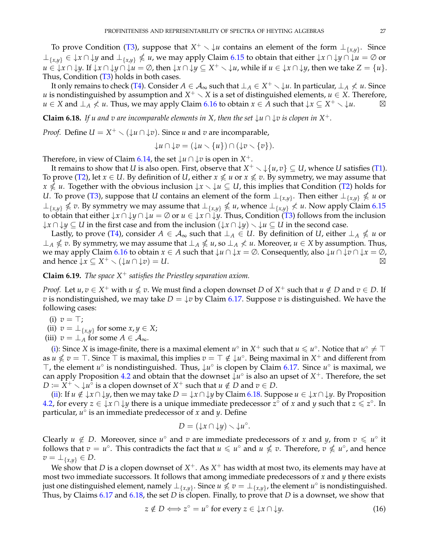To prove Condition [\(T3\)](#page-21-3), suppose that  $X^+ \setminus \downarrow u$  contains an element of the form  $\perp_{\{x,y\}}$ . Since  $\bot_{\{x,y\}}$  ∈ ↓*x* ∩ ↓*y* and  $\bot_{\{x,y\}} \nleq u$ , we may apply Claim [6.15](#page-25-3) to obtain that either ↓*x* ∩ ↓*y* ∩ ↓*u* = ∅ or *u* ∈ ↓*x* ∩ ↓*y*. If ↓*x* ∩ ↓*y* ∩ ↓*u* = ∅, then ↓*x* ∩ ↓*y* ⊆ *X*<sup>+</sup>  $\setminus$  ↓*u*, while if *u* ∈ ↓*x* ∩ ↓*y*, then we take *Z* = {*u*}. Thus, Condition  $(T3)$  holds in both cases.

It only remains to check [\(T4\)](#page-21-2). Consider  $A\in\mathcal{A}_\infty$  such that  $\bot_A\in X^+\smallsetminus\downarrow u.$  In particular,  $\bot_A\not< u.$  Since *u* is nondistinguished by assumption and  $X^+ \setminus X$  is a set of distinguished elements,  $u \in X$ . Therefore, *u* ∈ *X* and  $\perp$ *A*  $\not\le$  *u*. Thus, we may apply Claim [6.16](#page-25-4) to obtain  $x \in A$  such that  $\downarrow$  $x \subseteq X^+ \setminus \downarrow u$ .  $\Box$  $\boxtimes$ 

<span id="page-26-2"></span>**Claim 6.18.** *If u and v are incomparable elements in X, then the set*  $\downarrow u \cap \downarrow v$  *is clopen in*  $X^+$ *.* 

*Proof.* Define  $U = X^+ \setminus (\downarrow u \cap \downarrow v)$ . Since *u* and *v* are incomparable,

$$
\downarrow u \cap \downarrow v = (\downarrow u \smallsetminus \{u\}) \cap (\downarrow v \smallsetminus \{v\}).
$$

Therefore, in view of Claim [6.14,](#page-25-1) the set  $\downarrow u \cap \downarrow v$  is open in  $X^+$ .

It remains to show that *U* is also open. First, observe that  $X^+ \smallsetminus \{u,v\} \subseteq U$ , whence *U* satisfies [\(T1\)](#page-21-0). To prove [\(T2\)](#page-21-1), let  $x \in U$ . By definition of *U*, either  $x \nleq u$  or  $x \nleq v$ . By symmetry, we may assume that  $x \nlessل $u$ . Together with the obvious inclusion  $\downarrow x \setminus \downarrow u \subseteq U$ , this implies that Condition [\(T2\)](#page-21-1) holds for$ *U*. To prove [\(T3\)](#page-21-3), suppose that *U* contains an element of the form  $\bot_{\{x,y\}}$ . Then either  $\bot_{\{x,y\}} \nleqslant u$  or  $\perp$ <sub>{*x,y*}</sub> ≰ *v*. By symmetry we may assume that  $\perp$ <sub>{*x,y*}</sub> ≰ *u*, whence  $\perp$ <sub>{*x,y*}</sub> ≮ *u*. Now apply Claim [6.15](#page-25-3) to obtain that either  $\downarrow x \cap \downarrow y \cap \downarrow u = \emptyset$  or  $u \in \downarrow x \cap \downarrow y$ . Thus, Condition [\(T3\)](#page-21-3) follows from the inclusion  $\downarrow$ *x* ∩  $\downarrow$ *y* ⊆ *U* in the first case and from the inclusion  $(\downarrow$ *x* ∩  $\downarrow$ *y* $) \setminus \downarrow$ *u* ⊆ *U* in the second case.

Lastly, to prove [\(T4\)](#page-21-2), consider  $A \in \mathcal{A}_{\infty}$  such that  $\perp_A \in U$ . By definition of *U*, either  $\perp_A \nleq u$  or  $\perp$ *A*  $\nleq$  *v*. By symmetry, we may assume that  $\perp$ *A*  $\nleq$  *u*, so  $\perp$ *A*  $\nleq$  *u*. Moreover, *u* ∈ *X* by assumption. Thus, we may apply Claim [6.16](#page-25-4) to obtain *x* ∈ *A* such that ↓*u* ∩ ↓*x* = ∅. Consequently, also ↓*u* ∩ ↓*v* ∩ ↓*x* = ∅, and hence  $\downarrow x \subseteq X^+ \setminus (\downarrow u \cap \downarrow v) = U.$ 

# <span id="page-26-5"></span>**Claim 6.19.** *The space X*<sup>+</sup> *satisfies the Priestley separation axiom.*

*Proof.* Let  $u, v \in X^+$  with  $u \nleq v$ . We must find a clopen downset *D* of  $X^+$  such that  $u \notin D$  and  $v \in D$ . If *v* is nondistinguished, we may take  $D = \{v \text{ by Claim 6.17. Suppose } v \text{ is distinguished. We have the }$  $D = \{v \text{ by Claim 6.17. Suppose } v \text{ is distinguished. We have the }$  $D = \{v \text{ by Claim 6.17. Suppose } v \text{ is distinguished. We have the }$ following cases:

- <span id="page-26-0"></span>(i)  $v = \top$ ;
- <span id="page-26-1"></span>(ii)  $v = \perp_{\{x,y\}}$  for some  $x, y \in X$ ;
- <span id="page-26-4"></span>(iii)  $v = \perp_A$  for some  $A \in \mathcal{A}_{\infty}$ .

[\(i\)](#page-26-0): Since *X* is image-finite, there is a maximal element  $u^{\circ}$  in  $X^+$  such that  $u \leq u^{\circ}$ . Notice that  $u^{\circ} \neq \top$ as  $u \nleq v = \top$ . Since  $\top$  is maximal, this implies  $v = \top \notin \downarrow u^\circ$ . Being maximal in  $X^+$  and different from ⊤, the element *u*<sup>°</sup> is nondistinguished. Thus,  $\downarrow u$ <sup>°</sup> is clopen by Claim [6.17.](#page-25-5) Since *u*<sup>°</sup> is maximal, we can apply Proposition [4.2](#page-10-7) and obtain that the downset ↓*u* ◦ is also an upset of *X* <sup>+</sup>. Therefore, the set  $D := X^+ \setminus \downarrow u^{\circ}$  is a clopen downset of  $X^+$  such that  $u \notin D$  and  $v \in D$ .

[\(ii\)](#page-26-1): If  $u \notin \{x \cap \downarrow y$ , then we may take  $D = \{x \cap \downarrow y \text{ by Claim 6.18. Suppose } u \in \{x \cap \downarrow y\}$  $D = \{x \cap \downarrow y \text{ by Claim 6.18. Suppose } u \in \{x \cap \downarrow y\}$  $D = \{x \cap \downarrow y \text{ by Claim 6.18. Suppose } u \in \{x \cap \downarrow y\}$ . By Proposition [4.2,](#page-10-7) for every *z* ∈ ↓*x* ∩ ↓*y* there is a unique immediate predecessor  $z^{\circ}$  of *x* and *y* such that  $z \le z^{\circ}$ . In particular, *u* ◦ is an immediate predecessor of *x* and *y*. Define

$$
D=(\downarrow x\cap \downarrow y)\smallsetminus \downarrow u^{\circ}.
$$

Clearly  $u \notin D$ . Moreover, since  $u^{\circ}$  and  $v$  are immediate predecessors of  $x$  and  $y$ , from  $v \leq u^{\circ}$  it follows that  $v = u^{\circ}$ . This contradicts the fact that  $u \leq u^{\circ}$  and  $u \nleq v$ . Therefore,  $v \nleq u^{\circ}$ , and hence  $v = \perp_{\{x,y\}} \in D$ .

We show that  $D$  is a clopen downset of  $X^+$ . As  $X^+$  has width at most two, its elements may have at most two immediate successors. It follows that among immediate predecessors of *x* and *y* there exists just one distinguished element, namely  $\bot_{\{x,y\}}$ . Since  $u \not\leqslant v = \bot_{\{x,y\}}$ , the element  $u^\circ$  is nondistinguished. Thus, by Claims [6.17](#page-25-5) and [6.18,](#page-26-2) the set *D* is clopen. Finally, to prove that *D* is a downset, we show that

<span id="page-26-3"></span>
$$
z \notin D \Longleftrightarrow z^{\circ} = u^{\circ} \text{ for every } z \in \downarrow x \cap \downarrow y. \tag{16}
$$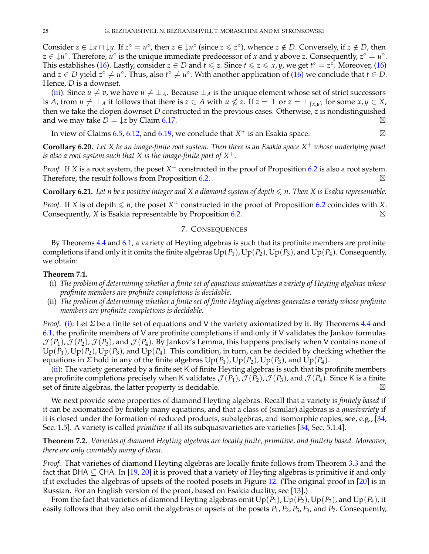Consider  $z \in \{x \cap \{y\} \mid x^{\circ} = u^{\circ}, \text{ then } z \in \{u^{\circ} \mid \text{since } z \leqslant z^{\circ}\}, \text{ whence } z \notin D.$  Conversely, if  $z \notin D$ , then  $z \in \mathcal{L}u^{\circ}$ . Therefore,  $u^{\circ}$  is the unique immediate predecessor of *x* and *y* above *z*. Consequently,  $z^{\circ} = u^{\circ}$ . This establishes [\(16\)](#page-26-3). Lastly, consider  $z \in D$  and  $t \leqslant z$ . Since  $t \leqslant z \leqslant x$ , *y*, we get  $t^{\circ} = z^{\circ}$ . Moreover, (16) and  $z \in D$  yield  $z^\circ \neq u^\circ$ . Thus, also  $t^\circ \neq u^\circ$ . With another application of [\(16\)](#page-26-3) we conclude that  $t \in D$ . Hence, *D* is a downset.

[\(iii\)](#page-26-4): Since  $u \neq v$ , we have  $u \neq \perp_A$ . Because  $\perp_A$  is the unique element whose set of strict successors is *A*, from  $u \neq \bot$ <sub>*A*</sub> it follows that there is  $z \in A$  with  $u \nleq z$ . If  $z = \top$  or  $z = \bot$ <sub>{*x,y*}</sub> for some  $x, y \in X$ , then we take the clopen downset *D* constructed in the previous cases. Otherwise, *z* is nondistinguished and we may take  $D = \downarrow z$  by Claim [6.17.](#page-25-5)  $\boxtimes$ 

In view of Claims [6.5,](#page-21-4) [6.12,](#page-24-5) and [6.19,](#page-26-5) we conclude that  $X^+$  is an Esakia space.  $\boxtimes$ 

**Corollary 6.20.** *Let X be an image-finite root system. Then there is an Esakia space X* <sup>+</sup> *whose underlying poset is also a root system such that*  $X$  *is the image-finite part of*  $X^+$ *.* 

*Proof.* If *X* is a root system, the poset *X* <sup>+</sup> constructed in the proof of Proposition [6.2](#page-20-3) is also a root system. Therefore, the result follows from Proposition [6.2.](#page-20-3)  $\boxtimes$ 

<span id="page-27-4"></span>**Corollary 6.21.** Let *n* be a positive integer and *X* a diamond system of depth  $\leq n$ . Then *X* is Esakia representable.

*Proof.* If *X* is of depth  $\leq n$ , the poset  $X^+$  constructed in the proof of Proposition [6.2](#page-20-3) coincides with *X*. Consequently, *X* is Esakia representable by Proposition [6.2.](#page-20-3) -⊠

## 7. CONSEQUENCES

<span id="page-27-0"></span>By Theorems [4.4](#page-11-4) and [6.1,](#page-20-1) a variety of Heyting algebras is such that its profinite members are profinite completions if and only it it omits the finite algebras  $Up(P_1)$ ,  $Up(P_2)$ ,  $Up(P_3)$ , and  $Up(P_4)$ . Consequently, we obtain:

#### <span id="page-27-2"></span>**Theorem 7.1.**

- (i) *The problem of determining whether a finite set of equations axiomatizes a variety of Heyting algebras whose profinite members are profinite completions is decidable.*
- <span id="page-27-3"></span>(ii) *The problem of determining whether a finite set of finite Heyting algebras generates a variety whose profinite members are profinite completions is decidable.*

*Proof.* [\(i\)](#page-27-2): Let *Σ* be a finite set of equations and V the variety axiomatized by it. By Theorems [4.4](#page-11-4) and [6.1,](#page-20-1) the profinite members of V are profinite completions if and only if V validates the Jankov formulas  $\mathcal{J}(P_1)$ ,  $\mathcal{J}(P_2)$ ,  $\mathcal{J}(P_3)$ , and  $\mathcal{J}(P_4)$ . By Jankov's Lemma, this happens precisely when V contains none of  $Up(P_1)$ ,  $Up(P_2)$ ,  $Up(P_3)$ , and  $Up(P_4)$ . This condition, in turn, can be decided by checking whether the equations in *Σ* hold in any of the finite algebras  $Up(P_1)$ ,  $Up(P_2)$ ,  $Up(P_3)$ , and  $Up(P_4)$ .

[\(ii\)](#page-27-3): The variety generated by a finite set K of finite Heyting algebras is such that its profinite members are profinite completions precisely when K validates  $\mathcal{J}(P_1)$ ,  $\mathcal{J}(P_2)$ ,  $\mathcal{J}(P_3)$ , and  $\mathcal{J}(P_4)$ . Since K is a finite set of finite algebras, the latter property is decidable.  $\boxtimes$ 

We next provide some properties of diamond Heyting algebras. Recall that a variety is *finitely based* if it can be axiomatized by finitely many equations, and that a class of (similar) algebras is a *quasivariety* if it is closed under the formation of reduced products, subalgebras, and isomorphic copies, see, e.g., [\[34,](#page-30-37) Sec. 1.5]. A variety is called *primitive* if all its subquasivarieties are varieties [\[34,](#page-30-37) Sec. 5.1.4].

<span id="page-27-1"></span>**Theorem 7.2.** *Varieties of diamond Heyting algebras are locally finite, primitive, and finitely based. Moreover, there are only countably many of them.*

*Proof.* That varieties of diamond Heyting algebras are locally finite follows from Theorem [3.3](#page-8-1) and the fact that DHA  $\subseteq$  CHA. In [\[19,](#page-30-38) [20\]](#page-30-32) it is proved that a variety of Heyting algebras is primitive if and only if it excludes the algebras of upsets of the rooted posets in Figure [12.](#page-28-1) (The original proof in [\[20\]](#page-30-32) is in Russian. For an English version of the proof, based on Esakia duality, see [\[13\]](#page-30-39).)

From the fact that varieties of diamond Heyting algebras omit  $Up(P_1)$ ,  $Up(P_2)$ ,  $Up(P_3)$ , and  $Up(P_4)$ , it easily follows that they also omit the algebras of upsets of the posets *P*1, *P*2, *P*5, *F*3, and *P*7. Consequently,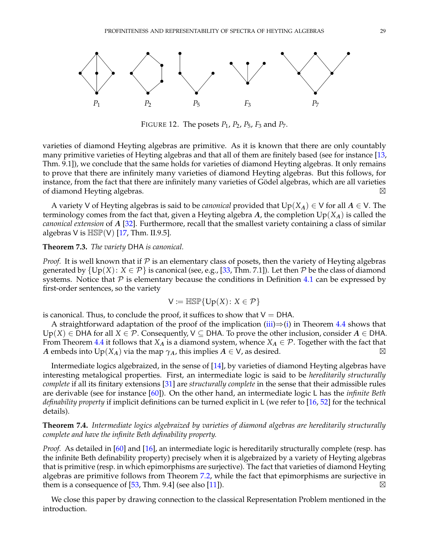

<span id="page-28-1"></span>FIGURE 12. The posets *P*1, *P*2, *P*5, *F*<sup>3</sup> and *P*7.

varieties of diamond Heyting algebras are primitive. As it is known that there are only countably many primitive varieties of Heyting algebras and that all of them are finitely based (see for instance [\[13,](#page-30-39) Thm. 9.1]), we conclude that the same holds for varieties of diamond Heyting algebras. It only remains to prove that there are infinitely many varieties of diamond Heyting algebras. But this follows, for instance, from the fact that there are infinitely many varieties of Gödel algebras, which are all varieties of diamond Heyting algebras.  $\boxtimes$ 

A variety V of Heyting algebras is said to be *canonical* provided that  $Up(X_A) \in V$  for all  $A \in V$ . The terminology comes from the fact that, given a Heyting algebra *A*, the completion Up(*XA*) is called the *canonical extension* of *A* [\[32\]](#page-30-40). Furthermore, recall that the smallest variety containing a class of similar algebras V is  $HSP(V)$  [\[17,](#page-30-18) Thm. II.9.5].

#### **Theorem 7.3.** *The variety* DHA *is canonical.*

*Proof.* It is well known that if  $P$  is an elementary class of posets, then the variety of Heyting algebras generated by  $\{Up(X): X \in \mathcal{P}\}\$ is canonical (see, e.g., [\[33,](#page-30-41) Thm. 7.1]). Let then  $\mathcal P$  be the class of diamond systems. Notice that  $P$  is elementary because the conditions in Definition [4.1](#page-10-8) can be expressed by first-order sentences, so the variety

$$
\mathsf{V} \coloneqq \mathbb{H} \mathbb{S} \mathbb{P} \{ \mathsf{Up}(X) \colon X \in \mathcal{P} \}
$$

is canonical. Thus, to conclude the proof, it suffices to show that  $V = DHA$ .

A straightforward adaptation of the proof of the implication [\(iii\)](#page-12-2) $\Rightarrow$ [\(i\)](#page-11-3) in Theorem [4.4](#page-11-4) shows that Up(*X*)  $\in$  DHA for all *X*  $\in$  *P*. Consequently, V  $\subseteq$  DHA. To prove the other inclusion, consider *A*  $\in$  DHA. From Theorem [4.4](#page-11-4) it follows that  $X_A$  is a diamond system, whence  $X_A \in \mathcal{P}$ . Together with the fact that *A* embeds into  $Up(X_A)$  via the map *γA*, this implies  $A \in V$ , as desired.  $\boxtimes$ 

Intermediate logics algebraized, in the sense of [\[14\]](#page-30-13), by varieties of diamond Heyting algebras have interesting metalogical properties. First, an intermediate logic is said to be *hereditarily structurally complete* if all its finitary extensions [\[31\]](#page-30-42) are *structurally complete* in the sense that their admissible rules are derivable (see for instance [\[60\]](#page-31-4)). On the other hand, an intermediate logic L has the *infinite Beth definability property* if implicit definitions can be turned explicit in L (we refer to [\[16,](#page-30-16) [52\]](#page-30-43) for the technical details).

## <span id="page-28-0"></span>**Theorem 7.4.** *Intermediate logics algebraized by varieties of diamond algebras are hereditarily structurally complete and have the infinite Beth definability property.*

*Proof.* As detailed in [\[60\]](#page-31-4) and [\[16\]](#page-30-16), an intermediate logic is hereditarily structurally complete (resp. has the infinite Beth definability property) precisely when it is algebraized by a variety of Heyting algebras that is primitive (resp. in which epimorphisms are surjective). The fact that varieties of diamond Heyting algebras are primitive follows from Theorem [7.2,](#page-27-1) while the fact that epimorphisms are surjective in them is a consequence of [\[53,](#page-30-26) Thm. 9.4] (see also [\[11\]](#page-29-13)).  $\boxtimes$ 

We close this paper by drawing connection to the classical Representation Problem mentioned in the introduction.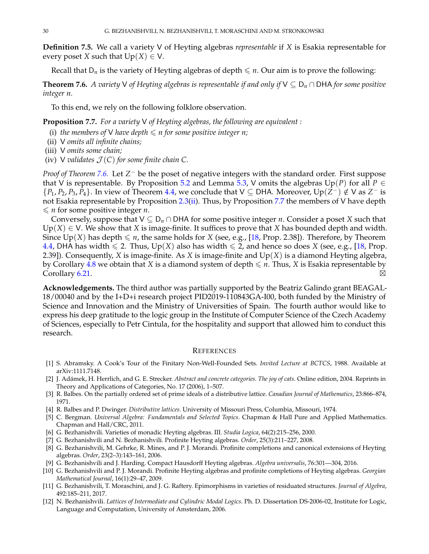**Definition 7.5.** We call a variety V of Heyting algebras *representable* if *X* is Esakia representable for every poset *X* such that  $Up(X) \in V$ .

Recall that  $D_n$  is the variety of Heyting algebras of depth  $\leq n$ . Our aim is to prove the following:

<span id="page-29-4"></span>**Theorem 7.6.** *A variety* V *of Heyting algebras is representable if and only if* V ⊆ D*<sup>n</sup>* ∩ DHA *for some positive integer n.*

To this end, we rely on the following folklore observation.

<span id="page-29-14"></span>**Proposition 7.7.** *For a variety* V *of Heyting algebras, the following are equivalent :*

- (i) *the members of*  $V$  *have depth*  $\leqslant n$  *for some positive integer n;*
- (ii) V *omits all infinite chains;*
- (iii) V *omits some chain;*
- (iv) V *validates*  $\mathcal{J}(C)$  *for some finite chain* C.

*Proof of Theorem [7.6.](#page-29-4)* Let *Z*<sup>-</sup> be the poset of negative integers with the standard order. First suppose that V is representable. By Proposition [5.2](#page-14-2) and Lemma [5.3,](#page-15-0) V omits the algebras  $Up(P)$  for all  $P \in$  ${P_1, P_2, P_3, P_4}$ . In view of Theorem [4.4,](#page-11-4) we conclude that  $V ⊆$  DHA. Moreover, Up( $\bar{Z}^-$ ) ∉ V as  $Z^-$  is not Esakia representable by Proposition [2.3\(](#page-4-5)[ii\)](#page-4-1). Thus, by Proposition [7.7](#page-29-14) the members of V have depth  $\leq n$  for some positive integer *n*.

Conversely, suppose that  $V \subseteq D_n \cap DHA$  for some positive integer *n*. Consider a poset *X* such that  $Up(X) \in V$ . We show that *X* is image-finite. It suffices to prove that *X* has bounded depth and width. Since  $Up(X)$  has depth  $\leq n$ , the same holds for *X* (see, e.g., [\[18,](#page-30-12) Prop. 2.38]). Therefore, by Theorem [4.4,](#page-11-4) DHA has width  $\leq 2$ . Thus, Up(*X*) also has width  $\leq 2$ , and hence so does *X* (see, e.g., [\[18,](#page-30-12) Prop. 2.39]). Consequently, *X* is image-finite. As *X* is image-finite and Up(*X*) is a diamond Heyting algebra, by Corollary [4.8](#page-14-4) we obtain that *X* is a diamond system of depth  $\leq n$ . Thus, *X* is Esakia representable by  $\blacksquare$   $\blacksquare$   $\blacksquare$ 

**Acknowledgements.** The third author was partially supported by the Beatriz Galindo grant BEAGAL-18/00040 and by the I+D+i research project PID2019-110843GA-I00, both funded by the Ministry of Science and Innovation and the Ministry of Universities of Spain. The fourth author would like to express his deep gratitude to the logic group in the Institute of Computer Science of the Czech Academy of Sciences, especially to Petr Cintula, for the hospitality and support that allowed him to conduct this research.

#### <span id="page-29-0"></span>**REFERENCES**

- <span id="page-29-6"></span>[1] S. Abramsky. A Cook's Tour of the Finitary Non-Well-Founded Sets. *Invited Lecture at BCTCS*, 1988. Available at arXiv:1111.7148.
- <span id="page-29-10"></span>[2] J. Adámek, H. Herrlich, and G. E. Strecker. *Abstract and concrete categories. The joy of cats*. Online edition, 2004. Reprints in Theory and Applications of Categories, No. 17 (2006), 1–507.
- <span id="page-29-1"></span>[3] R. Balbes. On the partially ordered set of prime ideals of a distributive lattice. *Canadian Journal of Mathematics*, 23:866–874, 1971.
- <span id="page-29-5"></span>[4] R. Balbes and P. Dwinger. *Distributive lattices*. University of Missouri Press, Columbia, Missouri, 1974.
- <span id="page-29-8"></span>[5] C. Bergman. *Universal Algebra: Fundamentals and Selected Topics*. Chapman & Hall Pure and Applied Mathematics. Chapman and Hall/CRC, 2011.
- <span id="page-29-9"></span>[6] G. Bezhanishvili. Varieties of monadic Heyting algebras. III. *Studia Logica*, 64(2):215–256, 2000.
- <span id="page-29-2"></span>[7] G. Bezhanishvili and N. Bezhanishvili. Profinite Heyting algebras. *Order*, 25(3):211–227, 2008.
- <span id="page-29-12"></span>[8] G. Bezhanishvili, M. Gehrke, R. Mines, and P. J. Morandi. Profinite completions and canonical extensions of Heyting algebras. *Order*, 23(2–3):143–161, 2006.
- <span id="page-29-11"></span>[9] G. Bezhanishvili and J. Harding. Compact Hausdorff Heyting algebras. *Algebra universalis*, 76:301—304, 2016.
- <span id="page-29-3"></span>[10] G. Bezhanishvili and P. J. Morandi. Profinite Heyting algebras and profinite completions of Heyting algebras. *Georgian Mathematical Journal*, 16(1):29–47, 2009.
- <span id="page-29-13"></span>[11] G. Bezhanishvili, T. Moraschini, and J. G. Raftery. Epimorphisms in varieties of residuated structures. *Journal of Algebra*, 492:185–211, 2017.
- <span id="page-29-7"></span>[12] N. Bezhanishvili. *Lattices of Intermediate and Cylindric Modal Logics*. Ph. D. Dissertation DS-2006-02, Institute for Logic, Language and Computation, University of Amsterdam, 2006.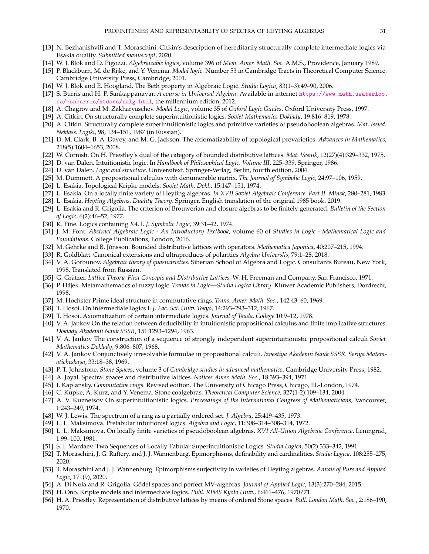- <span id="page-30-39"></span>[13] N. Bezhanishvili and T. Moraschini. Citkin's description of hereditarily structurally complete intermediate logics via Esakia duality. *Submitted manuscript*, 2020.
- <span id="page-30-13"></span>[14] W. J. Blok and D. Pigozzi. *Algebraizable logics*, volume 396 of *Mem. Amer. Math. Soc.* A.M.S., Providence, January 1989.
- <span id="page-30-36"></span>[15] P. Blackburn, M. de Rijke, and Y. Venema. *Modal logic*. Number 53 in Cambridge Tracts in Theoretical Computer Science. Cambridge University Press, Cambridge, 2001.
- <span id="page-30-16"></span>[16] W. J. Blok and E. Hoogland. The Beth property in Algebraic Logic. *Studia Logica*, 83(1–3):49–90, 2006.
- <span id="page-30-18"></span>[17] S. Burris and H. P. Sankappanavar. *A course in Universal Algebra*. Available in internet [https://www.math.uwaterloo.](https://www.math.uwaterloo.ca/~snburris/htdocs/ualg.html) [ca/~snburris/htdocs/ualg.html](https://www.math.uwaterloo.ca/~snburris/htdocs/ualg.html), the millennium edition, 2012.
- <span id="page-30-12"></span>[18] A. Chagrov and M. Zakharyaschev. *Modal Logic*, volume 35 of *Oxford Logic Guides*. Oxford University Press, 1997.
- <span id="page-30-38"></span>[19] A. Citkin. On structurally complete superintuitionistic logics. *Soviet Mathematics Doklady*, 19:816–819, 1978.
- <span id="page-30-32"></span>[20] A. Citkin. Structurally complete superintuitionistic logics and primitive varieties of pseudoBoolean algebras. *Mat. Issled. Neklass. Logiki*, 98, 134–151, 1987 (in Russian).
- <span id="page-30-1"></span>[21] D. M. Clark, B. A. Davey, and M. G. Jackson. The axiomatizability of topological prevarieties. *Advances in Mathematics*, 218(5):1604–1653, 2008.
- <span id="page-30-5"></span>[22] W. Cornish. On H. Priestley's dual of the category of bounded distributive lattices. *Mat. Vesnik*, 12(27)(4):329–332, 1975.
- <span id="page-30-14"></span>[23] D. van Dalen. Intuitionistic logic. In *Handbook of Philosophical Logic. Volume III*, 225–339, Springer, 1986.
- <span id="page-30-11"></span>[24] D. van Dalen. *Logic and structure*. Universitext. Springer-Verlag, Berlin, fourth edition, 2004.
- <span id="page-30-25"></span>[25] M. Dummett. A propositional calculus with denumerable matrix. *The Journal of Symbolic Logic*, 24:97–106, 1959.
- <span id="page-30-10"></span>[26] L. Esakia. Topological Kripke models. *Soviet Math. Dokl.*, 15:147–151, 1974.
- <span id="page-30-28"></span>[27] L. Esakia. On a locally finite variety of Heyting algebras. *In XVII Soviet Algebraic Conference. Part II, Minsk*, 280–281, 1983.
- <span id="page-30-9"></span>[28] L. Esakia. *Heyting Algebras. Duality Theory*. Springer, English translation of the original 1985 book. 2019.
- <span id="page-30-20"></span>[29] L. Esakia and R. Grigolia. The criterion of Brouwerian and closure algebras to be finitely generated. *Bulletin of the Section of Logic*, 6(2):46–52, 1977.
- <span id="page-30-22"></span>[30] K. Fine. Logics containing *K*4. I. *J. Symbolic Logic*, 39:31–42, 1974.
- <span id="page-30-42"></span>[31] J. M. Font. *Abstract Algebraic Logic - An Introductory Textbook*, volume 60 of *Studies in Logic - Mathematical Logic and Foundations*. College Publications, London, 2016.
- <span id="page-30-40"></span>[32] M. Gehrke and B. Jónsson. Bounded distributive lattices with operators. *Mathematica Japonica*, 40:207–215, 1994.
- <span id="page-30-41"></span>[33] R. Goldblatt. Canonical extensions and ultraproducts of polarities *Algebra Universlis*, 79:1–28, 2018.
- <span id="page-30-37"></span>[34] V. A. Gorbunov. *Algebraic theory of quasivarieties*. Siberian School of Algebra and Logic. Consultants Bureau, New York, 1998. Translated from Russian.
- <span id="page-30-2"></span>[35] G. Grätzer. Lattice Theory. First Concepts and Distributive Lattices. W. H. Freeman and Company, San Francisco, 1971.
- <span id="page-30-15"></span>[36] P. Hájek. Metamathematics of fuzzy logic. *Trends in Logic—Studia Logica Library*. Kluwer Academic Publishers, Dordrecht, 1998.
- <span id="page-30-4"></span>[37] M. Hochster Prime ideal structure in commutative rings. *Trans. Amer. Math. Soc.*, 142:43–60, 1969.
- <span id="page-30-21"></span>[38] T. Hosoi. On intermediate logics I. *J. Fac. Sci. Univ. Tokyo*, 14:293–293–312, 1967.
- <span id="page-30-27"></span>[39] T. Hosoi. Axiomatization of certain intermediate logics. *Journal of Tsuda, College* 10:9–12, 1978.
- <span id="page-30-33"></span>[40] V. A. Jankov On the relation between deducibility in intuitionistic propositional calculus and finite implicative structures. *Doklady Akademii Nauk SSSR*, 151:1293–1294, 1963.
- <span id="page-30-34"></span>[41] V. A. Jankov The construction of a sequence of strongly independent superintuitionistic propositional calculi *Soviet Mathematics Doklady*, 9:806–807, 1968.
- <span id="page-30-35"></span>[42] V. A. Jankov Conjunctively irresolvable formulae in propositional calculi. *Izvestiya Akademii Nauk SSSR. Seriya Matematicheskaya*, 33:18–38, 1969.
- <span id="page-30-0"></span>[43] P. T. Johnstone. *Stone Spaces*, volume 3 of *Cambridge studies in advanced mathematics*. Cambridge University Press, 1982.
- <span id="page-30-7"></span>[44] A. Joyal. Spectral spaces and distributive lattices. *Notices Amer. Math. Soc.*, 18:393–394, 1971.
- <span id="page-30-3"></span>[45] I. Kaplansky. *Commutative rings*. Revised edition. The University of Chicago Press, Chicago, Ill.-London, 1974.
- <span id="page-30-19"></span>[46] C. Kupke, A. Kurz, and Y. Venema. Stone coalgebras. *Theoretical Computer Science*, 327(1-2):109–134, 2004.
- <span id="page-30-31"></span>[47] A. V. Kuznetsov On superintuitionistic logics. *Proceedings of the International Congress of Mathematicians*, Vancouver, 1:243–249, 1974.
- <span id="page-30-8"></span>[48] W. J. Lewis. The spectrum of a ring as a partially ordered set. *J. Algebra*, 25:419–435, 1973.
- <span id="page-30-24"></span>[49] L. L. Maksimova. Pretabular intuitionist logics. *Algebra and Logic*, 11:308–314–308–314, 1972.
- <span id="page-30-30"></span>[50] L. L. Maksimova. On locally finite varieties of pseudoboolean algebras. *XVI All-Union Algebraic Conference*, Leningrad, 1:99–100, 1981.
- <span id="page-30-29"></span>[51] S. I. Mardaev. Two Sequences of Locally Tabular Superintuitionistic Logics. *Studia Logica*, 50(2):333–342, 1991.
- <span id="page-30-43"></span>[52] T. Moraschini, J. G. Raftery, and J. J. Wannenburg. Epimorphisms, definability and cardinalities. *Studia Logica*, 108:255–275, 2020.
- <span id="page-30-26"></span>[53] T. Moraschini and J. J. Wannenburg. Epimorphisms surjectivity in varieties of Heyting algebras. *Annals of Pure and Applied Logic*, 171(9), 2020.
- <span id="page-30-17"></span>[54] A. Di Nola and R. Grigolia. Gödel spaces and perfect MV-algebras. *Journal of Applied Logic*, 13(3):270-284, 2015.
- <span id="page-30-23"></span>[55] H. Ono. Kripke models and intermediate logics. *Publ. RIMS Kyoto Univ.*, 6:461–476, 1970/71.
- <span id="page-30-6"></span>[56] H. A. Priestley. Representation of distributive lattices by means of ordered Stone spaces. *Bull. London Math. Soc.*, 2:186–190, 1970.